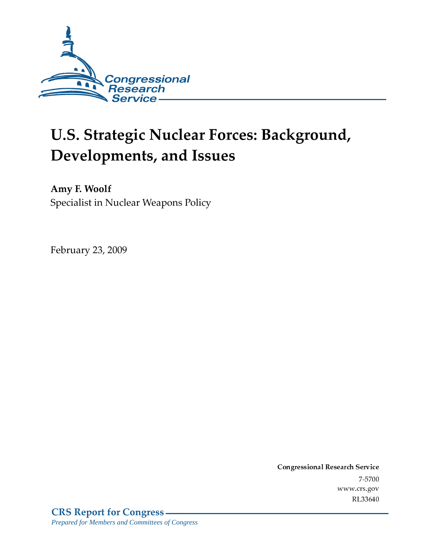

# **U.S. Strategic Nuclear Forces: Background,** Developments, and Issues

Amy F. Woolf Specialist in Nuclear Weapons Policy

February 23, 2009

Conglessional Research Service -7-5700 www.crs.gov RL33640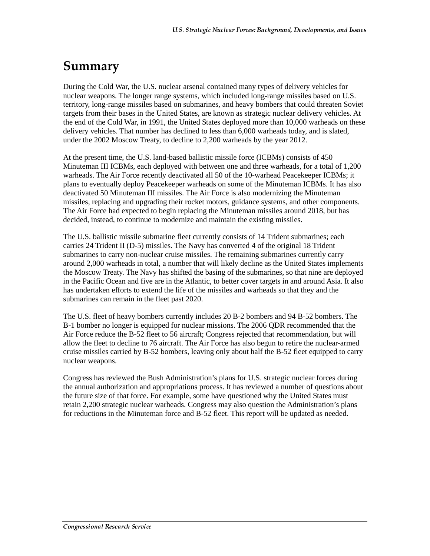## Summary

During the Cold War, the U.S. nuclear arsenal contained many types of delivery vehicles for nuclear weapons. The longer range systems, which included long-range missiles based on U.S. territory, long-range missiles based on submarines, and heavy bombers that could threaten Soviet targets from their bases in the United States, are known as strategic nuclear delivery vehicles. At the end of the Cold War, in 1991, the United States deployed more than 10,000 warheads on these delivery vehicles. That number has declined to less than 6,000 warheads today, and is slated, under the 2002 Moscow Treaty, to decline to 2,200 warheads by the year 2012.

At the present time, the U.S. land-based ballistic missile force (ICBMs) consists of 450 Minuteman III ICBMs, each deployed with between one and three warheads, for a total of 1,200 warheads. The Air Force recently deactivated all 50 of the 10-warhead Peacekeeper ICBMs; it plans to eventually deploy Peacekeeper warheads on some of the Minuteman ICBMs. It has also deactivated 50 Minuteman III missiles. The Air Force is also modernizing the Minuteman missiles, replacing and upgrading their rocket motors, guidance systems, and other components. The Air Force had expected to begin replacing the Minuteman missiles around 2018, but has decided, instead, to continue to modernize and maintain the existing missiles.

The U.S. ballistic missile submarine fleet currently consists of 14 Trident submarines; each carries 24 Trident II (D-5) missiles. The Navy has converted 4 of the original 18 Trident submarines to carry non-nuclear cruise missiles. The remaining submarines currently carry around 2,000 warheads in total, a number that will likely decline as the United States implements the Moscow Treaty. The Navy has shifted the basing of the submarines, so that nine are deployed in the Pacific Ocean and five are in the Atlantic, to better cover targets in and around Asia. It also has undertaken efforts to extend the life of the missiles and warheads so that they and the submarines can remain in the fleet past 2020.

The U.S. fleet of heavy bombers currently includes 20 B-2 bombers and 94 B-52 bombers. The B-1 bomber no longer is equipped for nuclear missions. The 2006 QDR recommended that the Air Force reduce the B-52 fleet to 56 aircraft; Congress rejected that recommendation, but will allow the fleet to decline to 76 aircraft. The Air Force has also begun to retire the nuclear-armed cruise missiles carried by B-52 bombers, leaving only about half the B-52 fleet equipped to carry nuclear weapons.

Congress has reviewed the Bush Administration's plans for U.S. strategic nuclear forces during the annual authorization and appropriations process. It has reviewed a number of questions about the future size of that force. For example, some have questioned why the United States must retain 2,200 strategic nuclear warheads. Congress may also question the Administration's plans for reductions in the Minuteman force and B-52 fleet. This report will be updated as needed.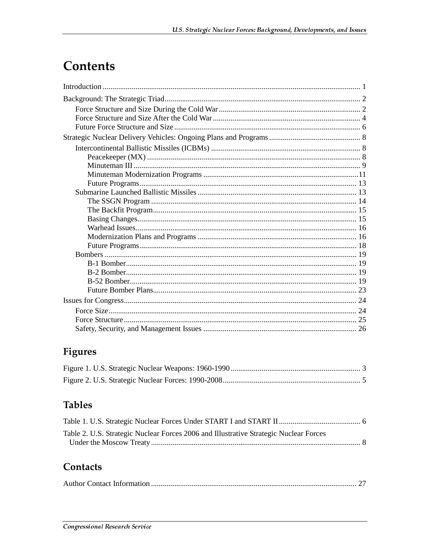## **Contents**

## Figures

## **Tables**

| Table 2. U.S. Strategic Nuclear Forces 2006 and Illustrative Strategic Nuclear Forces |  |
|---------------------------------------------------------------------------------------|--|
|                                                                                       |  |

## **Contacts**

|--|--|--|--|--|--|--|--|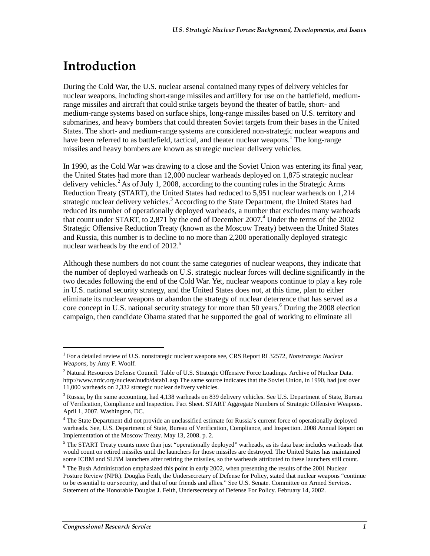## <u>Introduction</u>

During the Cold War, the U.S. nuclear arsenal contained many types of delivery vehicles for nuclear weapons, including short-range missiles and artillery for use on the battlefield, mediumrange missiles and aircraft that could strike targets beyond the theater of battle, short- and medium-range systems based on surface ships, long-range missiles based on U.S. territory and submarines, and heavy bombers that could threaten Soviet targets from their bases in the United States. The short- and medium-range systems are considered non-strategic nuclear weapons and have been referred to as battlefield, tactical, and theater nuclear weapons.<sup>1</sup> The long-range missiles and heavy bombers are known as strategic nuclear delivery vehicles.

In 1990, as the Cold War was drawing to a close and the Soviet Union was entering its final year, the United States had more than 12,000 nuclear warheads deployed on 1,875 strategic nuclear delivery vehicles.<sup>2</sup> As of July 1, 2008, according to the counting rules in the Strategic Arms Reduction Treaty (START), the United States had reduced to 5,951 nuclear warheads on 1,214 strategic nuclear delivery vehicles.<sup>3</sup> According to the State Department, the United States had reduced its number of operationally deployed warheads, a number that excludes many warheads that count under START, to 2,871 by the end of December 2007.<sup>4</sup> Under the terms of the 2002 Strategic Offensive Reduction Treaty (known as the Moscow Treaty) between the United States and Russia, this number is to decline to no more than 2,200 operationally deployed strategic nuclear warheads by the end of  $2012<sup>5</sup>$ 

Although these numbers do not count the same categories of nuclear weapons, they indicate that the number of deployed warheads on U.S. strategic nuclear forces will decline significantly in the two decades following the end of the Cold War. Yet, nuclear weapons continue to play a key role in U.S. national security strategy, and the United States does not, at this time, plan to either eliminate its nuclear weapons or abandon the strategy of nuclear deterrence that has served as a core concept in U.S. national security strategy for more than 50 years.<sup>6</sup> During the 2008 election campaign, then candidate Obama stated that he supported the goal of working to eliminate all

<sup>1</sup> For a detailed review of U.S. nonstrategic nuclear weapons see, CRS Report RL32572, *Nonstrategic Nuclear Weapons*, by Amy F. Woolf.

 $^2$  Natural Resources Defense Council. Table of U.S. Strategic Offensive Force Loadings. Archive of Nuclear Data.

http://www.nrdc.org/nuclear/nudb/datab1.asp The same source indicates that the Soviet Union, in 1990, had just over 11,000 warheads on 2,332 strategic nuclear delivery vehicles.

 $3$  Russia, by the same accounting, had 4,138 warheads on 839 delivery vehicles. See U.S. Department of State, Bureau of Verification, Compliance and Inspection. Fact Sheet. START Aggregate Numbers of Strategic Offensive Weapons. April 1, 2007. Washington, DC.

<sup>&</sup>lt;sup>4</sup> The State Department did not provide an unclassified estimate for Russia's current force of operationally deployed warheads. See, U.S. Department of State, Bureau of Verification, Compliance, and Inspection. 2008 Annual Report on Implementation of the Moscow Treaty. May 13, 2008. p. 2.

 $5$  The START Treaty counts more than just "operationally deployed" warheads, as its data base includes warheads that would count on retired missiles until the launchers for those missiles are destroyed. The United States has maintained some ICBM and SLBM launchers after retiring the missiles, so the warheads attributed to these launchers still count.

<sup>&</sup>lt;sup>6</sup> The Bush Administration emphasized this point in early 2002, when presenting the results of the 2001 Nuclear Posture Review (NPR). Douglas Feith, the Undersecretary of Defense for Policy, stated that nuclear weapons "continue to be essential to our security, and that of our friends and allies." See U.S. Senate. Committee on Armed Services. Statement of the Honorable Douglas J. Feith, Undersecretary of Defense For Policy. February 14, 2002.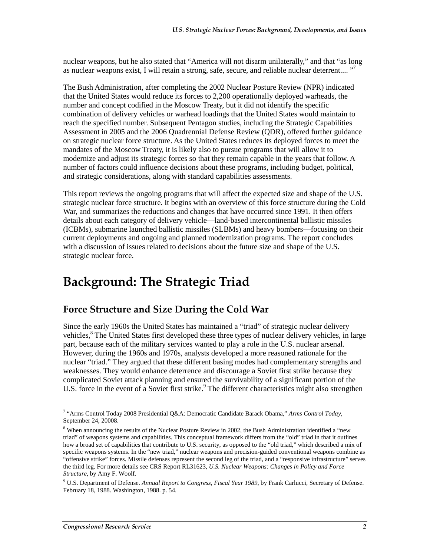nuclear weapons, but he also stated that "America will not disarm unilaterally," and that "as long as nuclear weapons exist, I will retain a strong, safe, secure, and reliable nuclear deterrent.... "<sup>7</sup>

The Bush Administration, after completing the 2002 Nuclear Posture Review (NPR) indicated that the United States would reduce its forces to 2,200 operationally deployed warheads, the number and concept codified in the Moscow Treaty, but it did not identify the specific combination of delivery vehicles or warhead loadings that the United States would maintain to reach the specified number. Subsequent Pentagon studies, including the Strategic Capabilities Assessment in 2005 and the 2006 Quadrennial Defense Review (QDR), offered further guidance on strategic nuclear force structure. As the United States reduces its deployed forces to meet the mandates of the Moscow Treaty, it is likely also to pursue programs that will allow it to modernize and adjust its strategic forces so that they remain capable in the years that follow. A number of factors could influence decisions about these programs, including budget, political, and strategic considerations, along with standard capabilities assessments.

This report reviews the ongoing programs that will affect the expected size and shape of the U.S. strategic nuclear force structure. It begins with an overview of this force structure during the Cold War, and summarizes the reductions and changes that have occurred since 1991. It then offers details about each category of delivery vehicle—land-based intercontinental ballistic missiles (ICBMs), submarine launched ballistic missiles (SLBMs) and heavy bombers—focusing on their current deployments and ongoing and planned modernization programs. The report concludes with a discussion of issues related to decisions about the future size and shape of the U.S. strategic nuclear force.

## **Background: The Strategic Triad**

## **Force Structure and Size During the Cold War**

Since the early 1960s the United States has maintained a "triad" of strategic nuclear delivery vehicles,<sup>8</sup> The United States first developed these three types of nuclear delivery vehicles, in large part, because each of the military services wanted to play a role in the U.S. nuclear arsenal. However, during the 1960s and 1970s, analysts developed a more reasoned rationale for the nuclear "triad." They argued that these different basing modes had complementary strengths and weaknesses. They would enhance deterrence and discourage a Soviet first strike because they complicated Soviet attack planning and ensured the survivability of a significant portion of the U.S. force in the event of a Soviet first strike.<sup>9</sup> The different characteristics might also strengthen

<sup>7</sup> "Arms Control Today 2008 Presidential Q&A: Democratic Candidate Barack Obama," *Arms Control Today*, September 24, 20008.

<sup>&</sup>lt;sup>8</sup> When announcing the results of the Nuclear Posture Review in 2002, the Bush Administration identified a "new triad" of weapons systems and capabilities. This conceptual framework differs from the "old" triad in that it outlines how a broad set of capabilities that contribute to U.S. security, as opposed to the "old triad," which described a mix of specific weapons systems. In the "new triad," nuclear weapons and precision-guided conventional weapons combine as "offensive strike" forces. Missile defenses represent the second leg of the triad, and a "responsive infrastructure" serves the third leg. For more details see CRS Report RL31623, *U.S. Nuclear Weapons: Changes in Policy and Force Structure*, by Amy F. Woolf.

<sup>9</sup> U.S. Department of Defense. *Annual Report to Congress, Fiscal Year 1989*, by Frank Carlucci, Secretary of Defense. February 18, 1988. Washington, 1988. p. 54.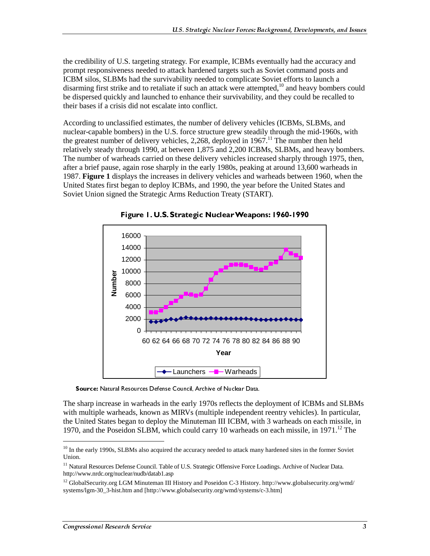the credibility of U.S. targeting strategy. For example, ICBMs eventually had the accuracy and prompt responsiveness needed to attack hardened targets such as Soviet command posts and ICBM silos, SLBMs had the survivability needed to complicate Soviet efforts to launch a disarming first strike and to retaliate if such an attack were attempted, $^{10}$  and heavy bombers could be dispersed quickly and launched to enhance their survivability, and they could be recalled to their bases if a crisis did not escalate into conflict.

According to unclassified estimates, the number of delivery vehicles (ICBMs, SLBMs, and nuclear-capable bombers) in the U.S. force structure grew steadily through the mid-1960s, with the greatest number of delivery vehicles, 2,268, deployed in  $1967$ .<sup>11</sup> The number then held relatively steady through 1990, at between 1,875 and 2,200 ICBMs, SLBMs, and heavy bombers. The number of warheads carried on these delivery vehicles increased sharply through 1975, then, after a brief pause, again rose sharply in the early 1980s, peaking at around 13,600 warheads in 1987. **Figure 1** displays the increases in delivery vehicles and warheads between 1960, when the United States first began to deploy ICBMs, and 1990, the year before the United States and Soviet Union signed the Strategic Arms Reduction Treaty (START).



Figure 1. U.S. Strategic Nuclear Weapons: 1960-1990

Source: Natural Resources Defense Council, Archive of Nuclear Data.

The sharp increase in warheads in the early 1970s reflects the deployment of ICBMs and SLBMs with multiple warheads, known as MIRVs (multiple independent reentry vehicles). In particular, the United States began to deploy the Minuteman III ICBM, with 3 warheads on each missile, in 1970, and the Poseidon SLBM, which could carry 10 warheads on each missile, in 1971.<sup>12</sup> The

 $10$  In the early 1990s, SLBMs also acquired the accuracy needed to attack many hardened sites in the former Soviet Union.

<sup>&</sup>lt;sup>11</sup> Natural Resources Defense Council. Table of U.S. Strategic Offensive Force Loadings. Archive of Nuclear Data. http://www.nrdc.org/nuclear/nudb/datab1.asp

<sup>&</sup>lt;sup>12</sup> GlobalSecurity.org LGM Minuteman III History and Poseidon C-3 History. http://www.globalsecurity.org/wmd/ systems/lgm-30\_3-hist.htm and [http://www.globalsecurity.org/wmd/systems/c-3.htm]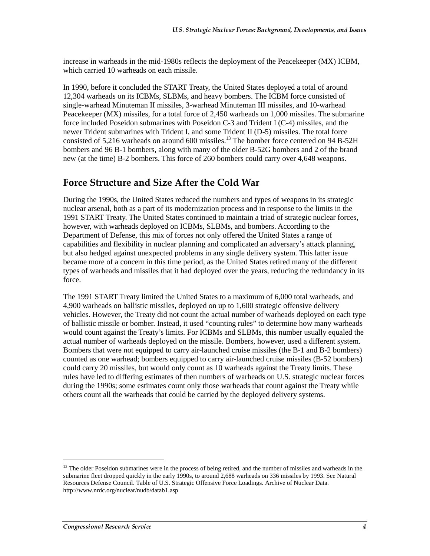increase in warheads in the mid-1980s reflects the deployment of the Peacekeeper (MX) ICBM, which carried 10 warheads on each missile.

In 1990, before it concluded the START Treaty, the United States deployed a total of around 12,304 warheads on its ICBMs, SLBMs, and heavy bombers. The ICBM force consisted of single-warhead Minuteman II missiles, 3-warhead Minuteman III missiles, and 10-warhead Peacekeeper (MX) missiles, for a total force of 2,450 warheads on 1,000 missiles. The submarine force included Poseidon submarines with Poseidon C-3 and Trident I (C-4) missiles, and the newer Trident submarines with Trident I, and some Trident II (D-5) missiles. The total force consisted of 5,216 warheads on around 600 missiles.<sup>13</sup> The bomber force centered on 94 B-52H bombers and 96 B-1 bombers, along with many of the older B-52G bombers and 2 of the brand new (at the time) B-2 bombers. This force of 260 bombers could carry over 4,648 weapons.

## **Force Structure and Size After the Cold War**

During the 1990s, the United States reduced the numbers and types of weapons in its strategic nuclear arsenal, both as a part of its modernization process and in response to the limits in the 1991 START Treaty. The United States continued to maintain a triad of strategic nuclear forces, however, with warheads deployed on ICBMs, SLBMs, and bombers. According to the Department of Defense, this mix of forces not only offered the United States a range of capabilities and flexibility in nuclear planning and complicated an adversary's attack planning, but also hedged against unexpected problems in any single delivery system. This latter issue became more of a concern in this time period, as the United States retired many of the different types of warheads and missiles that it had deployed over the years, reducing the redundancy in its force.

The 1991 START Treaty limited the United States to a maximum of 6,000 total warheads, and 4,900 warheads on ballistic missiles, deployed on up to 1,600 strategic offensive delivery vehicles. However, the Treaty did not count the actual number of warheads deployed on each type of ballistic missile or bomber. Instead, it used "counting rules" to determine how many warheads would count against the Treaty's limits. For ICBMs and SLBMs, this number usually equaled the actual number of warheads deployed on the missile. Bombers, however, used a different system. Bombers that were not equipped to carry air-launched cruise missiles (the B-1 and B-2 bombers) counted as one warhead; bombers equipped to carry air-launched cruise missiles (B-52 bombers) could carry 20 missiles, but would only count as 10 warheads against the Treaty limits. These rules have led to differing estimates of then numbers of warheads on U.S. strategic nuclear forces during the 1990s; some estimates count only those warheads that count against the Treaty while others count all the warheads that could be carried by the deployed delivery systems.

<sup>&</sup>lt;sup>13</sup> The older Poseidon submarines were in the process of being retired, and the number of missiles and warheads in the submarine fleet dropped quickly in the early 1990s, to around 2,688 warheads on 336 missiles by 1993. See Natural Resources Defense Council. Table of U.S. Strategic Offensive Force Loadings. Archive of Nuclear Data. http://www.nrdc.org/nuclear/nudb/datab1.asp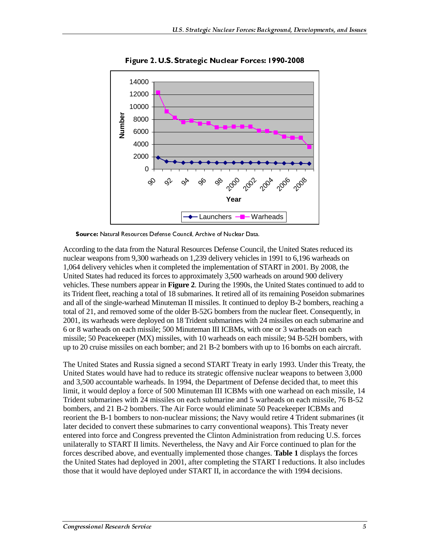

Figure 2. U.S. Strategic Nuclear Forces: 1990-2008

Source: Natural Resources Defense Council, Archive of Nuclear Data.

According to the data from the Natural Resources Defense Council, the United States reduced its nuclear weapons from 9,300 warheads on 1,239 delivery vehicles in 1991 to 6,196 warheads on 1,064 delivery vehicles when it completed the implementation of START in 2001. By 2008, the United States had reduced its forces to approximately 3,500 warheads on around 900 delivery vehicles. These numbers appear in **Figure 2**. During the 1990s, the United States continued to add to its Trident fleet, reaching a total of 18 submarines. It retired all of its remaining Poseidon submarines and all of the single-warhead Minuteman II missiles. It continued to deploy B-2 bombers, reaching a total of 21, and removed some of the older B-52G bombers from the nuclear fleet. Consequently, in 2001, its warheads were deployed on 18 Trident submarines with 24 missiles on each submarine and 6 or 8 warheads on each missile; 500 Minuteman III ICBMs, with one or 3 warheads on each missile; 50 Peacekeeper (MX) missiles, with 10 warheads on each missile; 94 B-52H bombers, with up to 20 cruise missiles on each bomber; and 21 B-2 bombers with up to 16 bombs on each aircraft.

The United States and Russia signed a second START Treaty in early 1993. Under this Treaty, the United States would have had to reduce its strategic offensive nuclear weapons to between 3,000 and 3,500 accountable warheads. In 1994, the Department of Defense decided that, to meet this limit, it would deploy a force of 500 Minuteman III ICBMs with one warhead on each missile, 14 Trident submarines with 24 missiles on each submarine and 5 warheads on each missile, 76 B-52 bombers, and 21 B-2 bombers. The Air Force would eliminate 50 Peacekeeper ICBMs and reorient the B-1 bombers to non-nuclear missions; the Navy would retire 4 Trident submarines (it later decided to convert these submarines to carry conventional weapons). This Treaty never entered into force and Congress prevented the Clinton Administration from reducing U.S. forces unilaterally to START II limits. Nevertheless, the Navy and Air Force continued to plan for the forces described above, and eventually implemented those changes. **Table 1** displays the forces the United States had deployed in 2001, after completing the START I reductions. It also includes those that it would have deployed under START II, in accordance the with 1994 decisions.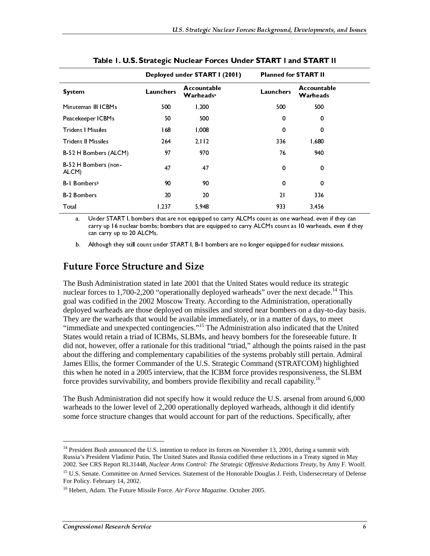|                                                                                                                                                                                                                                                                                                                                                                                                                                                                                                                                                                                                                                                                                                                                                                                                                                                                                                                                                                                                                                                                                                                                                                                                                                                                                                                                                                                                                                                                                                                                                                                                                               | Deployed under START I (2001) |                                                                                                   | <b>Planned for START II</b> |                         |
|-------------------------------------------------------------------------------------------------------------------------------------------------------------------------------------------------------------------------------------------------------------------------------------------------------------------------------------------------------------------------------------------------------------------------------------------------------------------------------------------------------------------------------------------------------------------------------------------------------------------------------------------------------------------------------------------------------------------------------------------------------------------------------------------------------------------------------------------------------------------------------------------------------------------------------------------------------------------------------------------------------------------------------------------------------------------------------------------------------------------------------------------------------------------------------------------------------------------------------------------------------------------------------------------------------------------------------------------------------------------------------------------------------------------------------------------------------------------------------------------------------------------------------------------------------------------------------------------------------------------------------|-------------------------------|---------------------------------------------------------------------------------------------------|-----------------------------|-------------------------|
| <b>System</b>                                                                                                                                                                                                                                                                                                                                                                                                                                                                                                                                                                                                                                                                                                                                                                                                                                                                                                                                                                                                                                                                                                                                                                                                                                                                                                                                                                                                                                                                                                                                                                                                                 | Launchers                     | Accountable<br><b>Warheads</b> <sup>a</sup>                                                       | Launchers                   | Accountable<br>Warheads |
| Minuteman III ICBMs                                                                                                                                                                                                                                                                                                                                                                                                                                                                                                                                                                                                                                                                                                                                                                                                                                                                                                                                                                                                                                                                                                                                                                                                                                                                                                                                                                                                                                                                                                                                                                                                           | 500                           | 1,200                                                                                             | 500                         | 500                     |
| Peacekeeper ICBMs                                                                                                                                                                                                                                                                                                                                                                                                                                                                                                                                                                                                                                                                                                                                                                                                                                                                                                                                                                                                                                                                                                                                                                                                                                                                                                                                                                                                                                                                                                                                                                                                             | 50                            | 500                                                                                               | 0                           | 0                       |
| <b>Trident   Missiles</b>                                                                                                                                                                                                                                                                                                                                                                                                                                                                                                                                                                                                                                                                                                                                                                                                                                                                                                                                                                                                                                                                                                                                                                                                                                                                                                                                                                                                                                                                                                                                                                                                     | 68                            | 1,008                                                                                             | 0                           | $\Omega$                |
| <b>Trident II Missiles</b>                                                                                                                                                                                                                                                                                                                                                                                                                                                                                                                                                                                                                                                                                                                                                                                                                                                                                                                                                                                                                                                                                                                                                                                                                                                                                                                                                                                                                                                                                                                                                                                                    | 264                           | 2.112                                                                                             | 336                         | 1,680                   |
| B-52 H Bombers (ALCM)                                                                                                                                                                                                                                                                                                                                                                                                                                                                                                                                                                                                                                                                                                                                                                                                                                                                                                                                                                                                                                                                                                                                                                                                                                                                                                                                                                                                                                                                                                                                                                                                         | 97                            | 970                                                                                               | 76                          | 940                     |
| B-52 H Bombers (non-<br>ALCM)                                                                                                                                                                                                                                                                                                                                                                                                                                                                                                                                                                                                                                                                                                                                                                                                                                                                                                                                                                                                                                                                                                                                                                                                                                                                                                                                                                                                                                                                                                                                                                                                 | 47                            | 47                                                                                                | 0                           | 0                       |
| B-1 Bombersb                                                                                                                                                                                                                                                                                                                                                                                                                                                                                                                                                                                                                                                                                                                                                                                                                                                                                                                                                                                                                                                                                                                                                                                                                                                                                                                                                                                                                                                                                                                                                                                                                  | 90                            | 90                                                                                                | 0                           | 0                       |
| <b>B-2 Bombers</b>                                                                                                                                                                                                                                                                                                                                                                                                                                                                                                                                                                                                                                                                                                                                                                                                                                                                                                                                                                                                                                                                                                                                                                                                                                                                                                                                                                                                                                                                                                                                                                                                            | 20                            | 20                                                                                                | 2 <sub>1</sub>              | 336                     |
| Total                                                                                                                                                                                                                                                                                                                                                                                                                                                                                                                                                                                                                                                                                                                                                                                                                                                                                                                                                                                                                                                                                                                                                                                                                                                                                                                                                                                                                                                                                                                                                                                                                         | 1,237                         | 5,948                                                                                             | 933                         | 3.456                   |
| can carry up to 20 ALCMs.<br>b.<br><b>Future Force Structure and Size</b><br>The Bush Administration stated in late 2001 that the United States would reduce its strategic<br>nuclear forces to 1,700-2,200 "operationally deployed warheads" over the next decade. <sup>14</sup> This<br>goal was codified in the 2002 Moscow Treaty. According to the Administration, operationally<br>deployed warheads are those deployed on missiles and stored near bombers on a day-to-day basis.<br>They are the warheads that would be available immediately, or in a matter of days, to meet<br>"immediate and unexpected contingencies." <sup>15</sup> The Administration also indicated that the United<br>States would retain a triad of ICBMs, SLBMs, and heavy bombers for the foreseeable future. It<br>did not, however, offer a rationale for this traditional "triad," although the points raised in the past<br>about the differing and complementary capabilities of the systems probably still pertain. Admiral<br>James Ellis, the former Commander of the U.S. Strategic Command (STRATCOM) highlighted<br>this when he noted in a 2005 interview, that the ICBM force provides responsiveness, the SLBM<br>force provides survivability, and bombers provide flexibility and recall capability. <sup>16</sup><br>The Bush Administration did not specify how it would reduce the U.S. arsenal from around 6,000<br>warheads to the lower level of 2,200 operationally deployed warheads, although it did identify<br>some force structure changes that would account for part of the reductions. Specifically, after |                               | Although they still count under START I, B-1 bombers are no longer equipped for nuclear missions. |                             |                         |

|  |  | Table I. U.S. Strategic Nuclear Forces Under START I and START II |
|--|--|-------------------------------------------------------------------|
|  |  |                                                                   |

### **Future Force Structure and Size**

<sup>&</sup>lt;sup>14</sup> President Bush announced the U.S. intention to reduce its forces on November 13, 2001, during a summit with Russia's President Vladimir Putin. The United States and Russia codified these reductions in a Treaty signed in May 2002. See CRS Report RL31448, *Nuclear Arms Control: The Strategic Offensive Reductions Treaty*, by Amy F. Woolf.

<sup>&</sup>lt;sup>15</sup> U.S. Senate. Committee on Armed Services. Statement of the Honorable Douglas J. Feith, Undersecretary of Defense For Policy. February 14, 2002.

<sup>16</sup> Hebert, Adam. The Future Missile Force. *Air Force Magazine*. October 2005.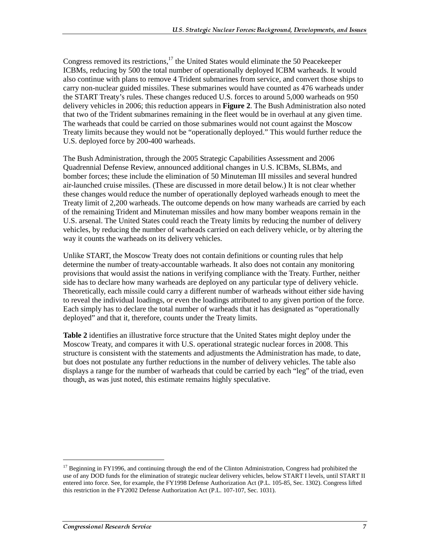Congress removed its restrictions,<sup>17</sup> the United States would eliminate the 50 Peacekeeper ICBMs, reducing by 500 the total number of operationally deployed ICBM warheads. It would also continue with plans to remove 4 Trident submarines from service, and convert those ships to carry non-nuclear guided missiles. These submarines would have counted as 476 warheads under the START Treaty's rules. These changes reduced U.S. forces to around 5,000 warheads on 950 delivery vehicles in 2006; this reduction appears in **Figure 2**. The Bush Administration also noted that two of the Trident submarines remaining in the fleet would be in overhaul at any given time. The warheads that could be carried on those submarines would not count against the Moscow Treaty limits because they would not be "operationally deployed." This would further reduce the U.S. deployed force by 200-400 warheads.

The Bush Administration, through the 2005 Strategic Capabilities Assessment and 2006 Quadrennial Defense Review, announced additional changes in U.S. ICBMs, SLBMs, and bomber forces; these include the elimination of 50 Minuteman III missiles and several hundred air-launched cruise missiles. (These are discussed in more detail below.) It is not clear whether these changes would reduce the number of operationally deployed warheads enough to meet the Treaty limit of 2,200 warheads. The outcome depends on how many warheads are carried by each of the remaining Trident and Minuteman missiles and how many bomber weapons remain in the U.S. arsenal. The United States could reach the Treaty limits by reducing the number of delivery vehicles, by reducing the number of warheads carried on each delivery vehicle, or by altering the way it counts the warheads on its delivery vehicles.

Unlike START, the Moscow Treaty does not contain definitions or counting rules that help determine the number of treaty-accountable warheads. It also does not contain any monitoring provisions that would assist the nations in verifying compliance with the Treaty. Further, neither side has to declare how many warheads are deployed on any particular type of delivery vehicle. Theoretically, each missile could carry a different number of warheads without either side having to reveal the individual loadings, or even the loadings attributed to any given portion of the force. Each simply has to declare the total number of warheads that it has designated as "operationally deployed" and that it, therefore, counts under the Treaty limits.

**Table 2** identifies an illustrative force structure that the United States might deploy under the Moscow Treaty, and compares it with U.S. operational strategic nuclear forces in 2008. This structure is consistent with the statements and adjustments the Administration has made, to date, but does not postulate any further reductions in the number of delivery vehicles. The table also displays a range for the number of warheads that could be carried by each "leg" of the triad, even though, as was just noted, this estimate remains highly speculative.

<sup>&</sup>lt;sup>17</sup> Beginning in FY1996, and continuing through the end of the Clinton Administration, Congress had prohibited the use of any DOD funds for the elimination of strategic nuclear delivery vehicles, below START I levels, until START II entered into force. See, for example, the FY1998 Defense Authorization Act (P.L. 105-85, Sec. 1302). Congress lifted this restriction in the FY2002 Defense Authorization Act (P.L. 107-107, Sec. 1031).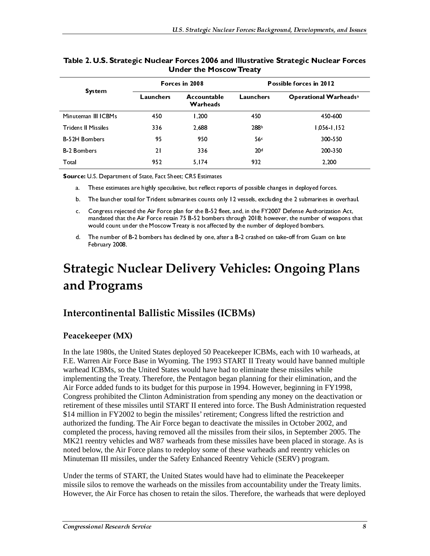|                                                                                                                 |                     | Forces in 2008                                              |                                                                                        | Possible forces in 2012                        |                                                                                                                                                                                                                |  |
|-----------------------------------------------------------------------------------------------------------------|---------------------|-------------------------------------------------------------|----------------------------------------------------------------------------------------|------------------------------------------------|----------------------------------------------------------------------------------------------------------------------------------------------------------------------------------------------------------------|--|
| <b>System</b>                                                                                                   |                     | Launchers<br>Accountable<br>Warheads                        |                                                                                        | Operational Warheads <sup>a</sup><br>Launchers |                                                                                                                                                                                                                |  |
|                                                                                                                 | Minuteman III ICBMs | 450                                                         | 1,200                                                                                  | 450                                            | 450-600                                                                                                                                                                                                        |  |
| <b>Trident II Missiles</b>                                                                                      |                     | 336                                                         | 2.688                                                                                  | 288b                                           | $1,056$ $1,152$                                                                                                                                                                                                |  |
| <b>B-52H Bombers</b>                                                                                            |                     | 95                                                          | 950                                                                                    | 56c                                            | 300 550                                                                                                                                                                                                        |  |
| <b>B-2 Bombers</b>                                                                                              |                     | 2 <sub>1</sub>                                              | 336                                                                                    | 20 <sup>d</sup>                                | 200 350                                                                                                                                                                                                        |  |
| 952<br>Total                                                                                                    |                     | 5, 174                                                      | 932                                                                                    | 2,200                                          |                                                                                                                                                                                                                |  |
|                                                                                                                 |                     | Source: U.S. Department of State, Fact Sheet; CRS Estimates |                                                                                        |                                                |                                                                                                                                                                                                                |  |
| a.                                                                                                              |                     |                                                             |                                                                                        |                                                | These estimates are highly speculative, but reflect reports of possible changes in deployed forces.                                                                                                            |  |
| The launcher total for Trident submarines counts only 12 vessels, excluding the 2 submarines in overhaul.<br>b. |                     |                                                             |                                                                                        |                                                |                                                                                                                                                                                                                |  |
| c.                                                                                                              |                     |                                                             | would count under the Moscow Treaty is not affected by the number of deployed bombers. |                                                | Congress rejected the Air Force plan for the B-52 fleet, and, in the FY2007 Defense Authorization Act,<br>mandated that the Air Force retain 75 B-52 bombers through 2018; however, the number of weapons that |  |
| d.                                                                                                              | February 2008.      |                                                             |                                                                                        |                                                | The number of B-2 bombers has declined by one, after a B-2 crashed on take-off from Guam on late                                                                                                               |  |
|                                                                                                                 | and Programs        |                                                             | <b>Intercontinental Ballistic Missiles (ICBMs)</b>                                     |                                                | <b>Strategic Nuclear Delivery Vehicles: Ongoing Plans</b>                                                                                                                                                      |  |
|                                                                                                                 | Peacekeeper (MX)    |                                                             |                                                                                        |                                                |                                                                                                                                                                                                                |  |
| warhead ICBMs, so the United States would have had to eliminate these missiles while                            |                     |                                                             |                                                                                        |                                                | In the late 1980s, the United States deployed 50 Peacekeeper ICBMs, each with 10 warheads, at<br>F.E. Warren Air Force Base in Wyoming. The 1993 START II Treaty would have banned multiple                    |  |

#### Table 2. U.S. Strategic Nuclear Forces 2006 and Illustrative Strategic Nuclear Forces Under the Moscow Treaty

## **Strategic Nuclear Delivery Vehicles: Ongoing Plans** and Programs

### Intercontinental Ballistic Missiles (ICBMs)

#### Peacekeeper (MX)

**Example 18**<br>
Ill Missiles<br>
Ill Missiles<br>
Ill Missiles<br>
Ill Missiles<br>
Ill Congree<br>
Illian Congree<br>
mandate<br>
would c<br>
The nur<br>
Februar<br> **Example 1980**<br> **CONITE 2080**<br>
Reepel<br>
ate 1980<br>
arren Ai<br>
d ICBM<br>
arren Ai<br>
d ICBM<br>
en Warheads<br>
1,200<br>
336<br>
450<br>
1,200<br>
336<br>
21<br>
336<br>
95<br>
95<br>
21<br>
336<br>
95<br>
95<br>
21<br>
336<br>
95<br>
95<br>
21<br>
336<br>
95<br>
95<br>
21<br>
336<br>
95<br>
95<br>
5,174<br>
State, Fact Sheet; CRS Estimates<br>
highly speculative, but reflect rep<br>
or Trident submarine 1,200<br>2,688<br>336<br>336<br>336<br>5,174<br>RS Estimates<br>NRS Estimates<br>but reflect re<br>nes counts or<br>or the B-52 fl<br>is not affect<br>is not affect<br>ed by one, aff<br>**Very**<br>NRS (1<br>The 1993<br>vuld have h<br>Pentagon b<br>Pentagon b<br>Pentagon b<br>Miss purpo Launchers Operational Warheadsa In the late 1980s, the United States deployed 50 Peacekeeper ICBMs, each with 10 warheads, at F.E. Warren Air Force Base in Wyoming. The 1993 START II Treaty would have banned multiple warhead ICBMs, so the United States would have had to eliminate these missiles while implementing the Treaty. Therefore, the Pentagon began planning for their elimination, and the Air Force added funds to its budget for this purpose in 1994. However, beginning in FY1998, Congress prohibited the Clinton Administration from spending any money on the deactivation or retirement of these missiles until START II entered into force. The Bush Administration requested \$14 million in FY2002 to begin the missiles' retirement; Congress lifted the restriction and authorized the funding. The Air Force began to deactivate the missiles in October 2002, and completed the process, having removed all the missiles from their silos, in September 2005. The MK21 reentry vehicles and W87 warheads from these missiles have been placed in storage. As is noted below, the Air Force plans to redeploy some of these warheads and reentry vehicles on Minuteman III missiles, under the Safety Enhanced Reentry Vehicle (SERV) program.

Under the terms of START, the United States would have had to eliminate the Peacekeeper missile silos to remove the warheads on the missiles from accountability under the Treaty limits. However, the Air Force has chosen to retain the silos. Therefore, the warheads that were deployed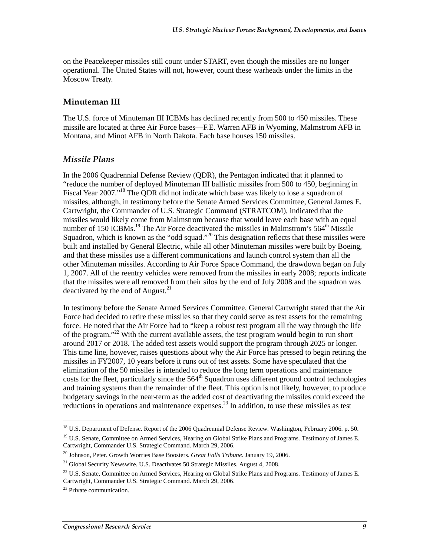on the Peacekeeper missiles still count under START, even though the missiles are no longer operational. The United States will not, however, count these warheads under the limits in the Moscow Treaty.

#### Minuteman III

The U.S. force of Minuteman III ICBMs has declined recently from 500 to 450 missiles. These missile are located at three Air Force bases—F.E. Warren AFB in Wyoming, Malmstrom AFB in Montana, and Minot AFB in North Dakota. Each base houses 150 missiles.

#### Missile Plans

In the 2006 Quadrennial Defense Review (QDR), the Pentagon indicated that it planned to "reduce the number of deployed Minuteman III ballistic missiles from 500 to 450, beginning in Fiscal Year 2007."<sup>18</sup> The QDR did not indicate which base was likely to lose a squadron of missiles, although, in testimony before the Senate Armed Services Committee, General James E. Cartwright, the Commander of U.S. Strategic Command (STRATCOM), indicated that the missiles would likely come from Malmstrom because that would leave each base with an equal number of 150 ICBMs.<sup>19</sup> The Air Force deactivated the missiles in Malmstrom's 564<sup>th</sup> Missile Squadron, which is known as the "odd squad."<sup>20</sup> This designation reflects that these missiles were built and installed by General Electric, while all other Minuteman missiles were built by Boeing, and that these missiles use a different communications and launch control system than all the other Minuteman missiles. According to Air Force Space Command, the drawdown began on July 1, 2007. All of the reentry vehicles were removed from the missiles in early 2008; reports indicate that the missiles were all removed from their silos by the end of July 2008 and the squadron was deactivated by the end of August. $^{21}$ 

In testimony before the Senate Armed Services Committee, General Cartwright stated that the Air Force had decided to retire these missiles so that they could serve as test assets for the remaining force. He noted that the Air Force had to "keep a robust test program all the way through the life of the program."<sup>22</sup> With the current available assets, the test program would begin to run short around 2017 or 2018. The added test assets would support the program through 2025 or longer. This time line, however, raises questions about why the Air Force has pressed to begin retiring the missiles in FY2007, 10 years before it runs out of test assets. Some have speculated that the elimination of the 50 missiles is intended to reduce the long term operations and maintenance costs for the fleet, particularly since the  $564<sup>th</sup>$  Squadron uses different ground control technologies and training systems than the remainder of the fleet. This option is not likely, however, to produce budgetary savings in the near-term as the added cost of deactivating the missiles could exceed the reductions in operations and maintenance expenses.<sup>23</sup> In addition, to use these missiles as test

<sup>&</sup>lt;sup>18</sup> U.S. Department of Defense. Report of the 2006 Quadrennial Defense Review. Washington, February 2006. p. 50.

<sup>&</sup>lt;sup>19</sup> U.S. Senate, Committee on Armed Services, Hearing on Global Strike Plans and Programs. Testimony of James E. Cartwright, Commander U.S. Strategic Command. March 29, 2006.

<sup>20</sup> Johnson, Peter. Growth Worries Base Boosters. *Great Falls Tribune*. January 19, 2006.

 $21$  Global Security Newswire. U.S. Deactivates 50 Strategic Missiles. August 4, 2008.

 $^{22}$  U.S. Senate, Committee on Armed Services, Hearing on Global Strike Plans and Programs. Testimony of James E. Cartwright, Commander U.S. Strategic Command. March 29, 2006.

<sup>&</sup>lt;sup>23</sup> Private communication.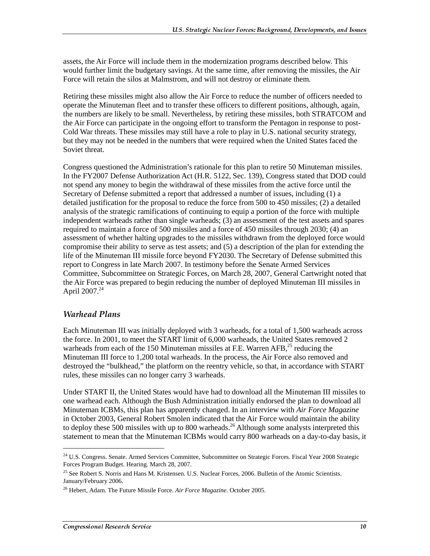assets, the Air Force will include them in the modernization programs described below. This would further limit the budgetary savings. At the same time, after removing the missiles, the Air Force will retain the silos at Malmstrom, and will not destroy or eliminate them.

Retiring these missiles might also allow the Air Force to reduce the number of officers needed to operate the Minuteman fleet and to transfer these officers to different positions, although, again, the numbers are likely to be small. Nevertheless, by retiring these missiles, both STRATCOM and the Air Force can participate in the ongoing effort to transform the Pentagon in response to post-Cold War threats. These missiles may still have a role to play in U.S. national security strategy, but they may not be needed in the numbers that were required when the United States faced the Soviet threat.

Congress questioned the Administration's rationale for this plan to retire 50 Minuteman missiles. In the FY2007 Defense Authorization Act (H.R. 5122, Sec. 139), Congress stated that DOD could not spend any money to begin the withdrawal of these missiles from the active force until the Secretary of Defense submitted a report that addressed a number of issues, including (1) a detailed justification for the proposal to reduce the force from 500 to 450 missiles; (2) a detailed analysis of the strategic ramifications of continuing to equip a portion of the force with multiple independent warheads rather than single warheads; (3) an assessment of the test assets and spares required to maintain a force of 500 missiles and a force of 450 missiles through 2030; (4) an assessment of whether halting upgrades to the missiles withdrawn from the deployed force would compromise their ability to serve as test assets; and (5) a description of the plan for extending the life of the Minuteman III missile force beyond FY2030. The Secretary of Defense submitted this report to Congress in late March 2007. In testimony before the Senate Armed Services Committee, Subcommittee on Strategic Forces, on March 28, 2007, General Cartwright noted that the Air Force was prepared to begin reducing the number of deployed Minuteman III missiles in April 2007.<sup>24</sup>

#### Warhead Plans

j

Each Minuteman III was initially deployed with 3 warheads, for a total of 1,500 warheads across the force. In 2001, to meet the START limit of 6,000 warheads, the United States removed 2 warheads from each of the 150 Minuteman missiles at F.E. Warren  $AFB$ <sup>25</sup> reducing the Minuteman III force to 1,200 total warheads. In the process, the Air Force also removed and destroyed the "bulkhead," the platform on the reentry vehicle, so that, in accordance with START rules, these missiles can no longer carry 3 warheads.

Under START II, the United States would have had to download all the Minuteman III missiles to one warhead each. Although the Bush Administration initially endorsed the plan to download all Minuteman ICBMs, this plan has apparently changed. In an interview with *Air Force Magazine* in October 2003, General Robert Smolen indicated that the Air Force would maintain the ability to deploy these 500 missiles with up to 800 warheads.<sup>26</sup> Although some analysts interpreted this statement to mean that the Minuteman ICBMs would carry 800 warheads on a day-to-day basis, it

<sup>&</sup>lt;sup>24</sup> U.S. Congress. Senate. Armed Services Committee, Subcommittee on Strategic Forces. Fiscal Year 2008 Strategic Forces Program Budget. Hearing. March 28, 2007.

<sup>&</sup>lt;sup>25</sup> See Robert S. Norris and Hans M. Kristensen. U.S. Nuclear Forces, 2006. Bulletin of the Atomic Scientists. January/February 2006.

<sup>26</sup> Hebert, Adam. The Future Missile Force. *Air Force Magazine*. October 2005.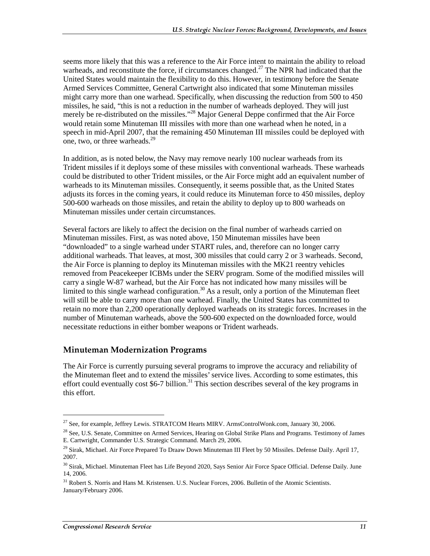seems more likely that this was a reference to the Air Force intent to maintain the ability to reload warheads, and reconstitute the force, if circumstances changed.<sup>27</sup> The NPR had indicated that the United States would maintain the flexibility to do this. However, in testimony before the Senate Armed Services Committee, General Cartwright also indicated that some Minuteman missiles might carry more than one warhead. Specifically, when discussing the reduction from 500 to 450 missiles, he said, "this is not a reduction in the number of warheads deployed. They will just merely be re-distributed on the missiles."<sup>28</sup> Major General Deppe confirmed that the Air Force would retain some Minuteman III missiles with more than one warhead when he noted, in a speech in mid-April 2007, that the remaining 450 Minuteman III missiles could be deployed with one, two, or three warheads.<sup>29</sup>

In addition, as is noted below, the Navy may remove nearly 100 nuclear warheads from its Trident missiles if it deploys some of these missiles with conventional warheads. These warheads could be distributed to other Trident missiles, or the Air Force might add an equivalent number of warheads to its Minuteman missiles. Consequently, it seems possible that, as the United States adjusts its forces in the coming years, it could reduce its Minuteman force to 450 missiles, deploy 500-600 warheads on those missiles, and retain the ability to deploy up to 800 warheads on Minuteman missiles under certain circumstances.

Several factors are likely to affect the decision on the final number of warheads carried on Minuteman missiles. First, as was noted above, 150 Minuteman missiles have been "downloaded" to a single warhead under START rules, and, therefore can no longer carry additional warheads. That leaves, at most, 300 missiles that could carry 2 or 3 warheads. Second, the Air Force is planning to deploy its Minuteman missiles with the MK21 reentry vehicles removed from Peacekeeper ICBMs under the SERV program. Some of the modified missiles will carry a single W-87 warhead, but the Air Force has not indicated how many missiles will be limited to this single warhead configuration.<sup>30</sup> As a result, only a portion of the Minuteman fleet will still be able to carry more than one warhead. Finally, the United States has committed to retain no more than 2,200 operationally deployed warheads on its strategic forces. Increases in the number of Minuteman warheads, above the 500-600 expected on the downloaded force, would necessitate reductions in either bomber weapons or Trident warheads.

#### **Minuteman Modernization Programs**

The Air Force is currently pursuing several programs to improve the accuracy and reliability of the Minuteman fleet and to extend the missiles' service lives. According to some estimates, this effort could eventually cost \$6-7 billion.<sup>31</sup> This section describes several of the key programs in this effort.

<sup>&</sup>lt;sup>27</sup> See, for example, Jeffrey Lewis. STRATCOM Hearts MIRV. ArmsControlWonk.com, January 30, 2006.

<sup>&</sup>lt;sup>28</sup> See, U.S. Senate, Committee on Armed Services, Hearing on Global Strike Plans and Programs. Testimony of James E. Cartwright, Commander U.S. Strategic Command. March 29, 2006.

<sup>&</sup>lt;sup>29</sup> Sirak, Michael. Air Force Prepared To Draaw Down Minuteman III Fleet by 50 Missiles. Defense Daily. April 17, 2007.

<sup>&</sup>lt;sup>30</sup> Sirak, Michael. Minuteman Fleet has Life Beyond 2020, Says Senior Air Force Space Official. Defense Daily. June 14, 2006.

<sup>&</sup>lt;sup>31</sup> Robert S. Norris and Hans M. Kristensen. U.S. Nuclear Forces, 2006. Bulletin of the Atomic Scientists. January/February 2006.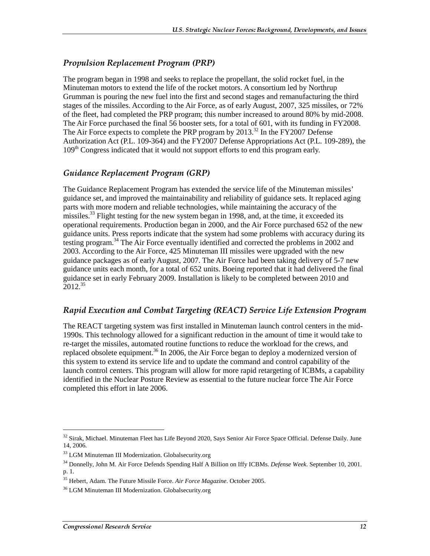#### Propulsion Replacement Program (PRP)

The program began in 1998 and seeks to replace the propellant, the solid rocket fuel, in the Minuteman motors to extend the life of the rocket motors. A consortium led by Northrup Grumman is pouring the new fuel into the first and second stages and remanufacturing the third stages of the missiles. According to the Air Force, as of early August, 2007, 325 missiles, or 72% of the fleet, had completed the PRP program; this number increased to around 80% by mid-2008. The Air Force purchased the final 56 booster sets, for a total of 601, with its funding in FY2008. The Air Force expects to complete the PRP program by  $2013<sup>32</sup>$  In the FY2007 Defense Authorization Act (P.L. 109-364) and the FY2007 Defense Appropriations Act (P.L. 109-289), the 109<sup>th</sup> Congress indicated that it would not support efforts to end this program early.

#### Guidance Replacement Program (GRP)

The Guidance Replacement Program has extended the service life of the Minuteman missiles' guidance set, and improved the maintainability and reliability of guidance sets. It replaced aging parts with more modern and reliable technologies, while maintaining the accuracy of the missiles.<sup>33</sup> Flight testing for the new system began in 1998, and, at the time, it exceeded its operational requirements. Production began in 2000, and the Air Force purchased 652 of the new guidance units. Press reports indicate that the system had some problems with accuracy during its testing program.<sup>34</sup> The Air Force eventually identified and corrected the problems in 2002 and 2003. According to the Air Force, 425 Minuteman III missiles were upgraded with the new guidance packages as of early August, 2007. The Air Force had been taking delivery of 5-7 new guidance units each month, for a total of 652 units. Boeing reported that it had delivered the final guidance set in early February 2009. Installation is likely to be completed between 2010 and  $2012^{35}$ 

#### Rapid Execution and Combat Targeting (REACT) Service Life Extension Program

The REACT targeting system was first installed in Minuteman launch control centers in the mid-1990s. This technology allowed for a significant reduction in the amount of time it would take to re-target the missiles, automated routine functions to reduce the workload for the crews, and replaced obsolete equipment.<sup>36</sup> In 2006, the Air Force began to deploy a modernized version of this system to extend its service life and to update the command and control capability of the launch control centers. This program will allow for more rapid retargeting of ICBMs, a capability identified in the Nuclear Posture Review as essential to the future nuclear force The Air Force completed this effort in late 2006.

 $32$  Sirak, Michael. Minuteman Fleet has Life Beyond 2020, Says Senior Air Force Space Official. Defense Daily. June 14, 2006.

<sup>&</sup>lt;sup>33</sup> LGM Minuteman III Modernization. Globalsecurity.org

<sup>34</sup> Donnelly, John M. Air Force Defends Spending Half A Billion on Iffy ICBMs. *Defense Week*. September 10, 2001. p. 1.

<sup>35</sup> Hebert, Adam. The Future Missile Force. *Air Force Magazine*. October 2005.

<sup>&</sup>lt;sup>36</sup> LGM Minuteman III Modernization. Globalsecurity.org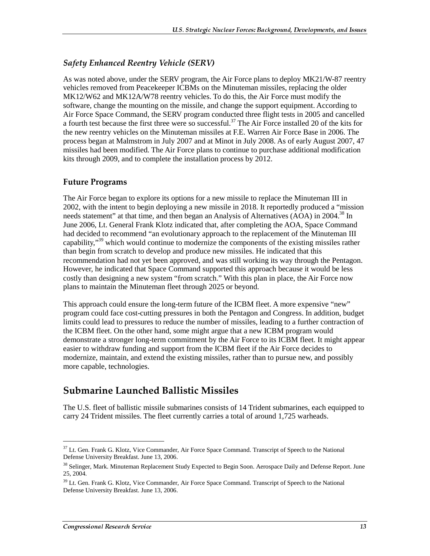#### Safety Enhanced Reentry Vehicle (SERV)

As was noted above, under the SERV program, the Air Force plans to deploy MK21/W-87 reentry vehicles removed from Peacekeeper ICBMs on the Minuteman missiles, replacing the older MK12/W62 and MK12A/W78 reentry vehicles. To do this, the Air Force must modify the software, change the mounting on the missile, and change the support equipment. According to Air Force Space Command, the SERV program conducted three flight tests in 2005 and cancelled a fourth test because the first three were so successful.<sup>37</sup> The Air Force installed 20 of the kits for the new reentry vehicles on the Minuteman missiles at F.E. Warren Air Force Base in 2006. The process began at Malmstrom in July 2007 and at Minot in July 2008. As of early August 2007, 47 missiles had been modified. The Air Force plans to continue to purchase additional modification kits through 2009, and to complete the installation process by 2012.

#### **Future Programs**

The Air Force began to explore its options for a new missile to replace the Minuteman III in 2002, with the intent to begin deploying a new missile in 2018. It reportedly produced a "mission needs statement" at that time, and then began an Analysis of Alternatives (AOA) in 2004.<sup>38</sup> In June 2006, Lt. General Frank Klotz indicated that, after completing the AOA, Space Command had decided to recommend "an evolutionary approach to the replacement of the Minuteman III capability,<sup>39</sup> which would continue to modernize the components of the existing missiles rather than begin from scratch to develop and produce new missiles. He indicated that this recommendation had not yet been approved, and was still working its way through the Pentagon. However, he indicated that Space Command supported this approach because it would be less costly than designing a new system "from scratch." With this plan in place, the Air Force now plans to maintain the Minuteman fleet through 2025 or beyond.

This approach could ensure the long-term future of the ICBM fleet. A more expensive "new" program could face cost-cutting pressures in both the Pentagon and Congress. In addition, budget limits could lead to pressures to reduce the number of missiles, leading to a further contraction of the ICBM fleet. On the other hand, some might argue that a new ICBM program would demonstrate a stronger long-term commitment by the Air Force to its ICBM fleet. It might appear easier to withdraw funding and support from the ICBM fleet if the Air Force decides to modernize, maintain, and extend the existing missiles, rather than to pursue new, and possibly more capable, technologies.

## Submarine Launched Ballistic Missiles

The U.S. fleet of ballistic missile submarines consists of 14 Trident submarines, each equipped to carry 24 Trident missiles. The fleet currently carries a total of around 1,725 warheads.

<sup>&</sup>lt;sup>37</sup> Lt. Gen. Frank G. Klotz, Vice Commander, Air Force Space Command. Transcript of Speech to the National Defense University Breakfast. June 13, 2006.

<sup>&</sup>lt;sup>38</sup> Selinger, Mark. Minuteman Replacement Study Expected to Begin Soon. Aerospace Daily and Defense Report. June 25, 2004.

<sup>&</sup>lt;sup>39</sup> Lt. Gen. Frank G. Klotz, Vice Commander, Air Force Space Command. Transcript of Speech to the National Defense University Breakfast. June 13, 2006.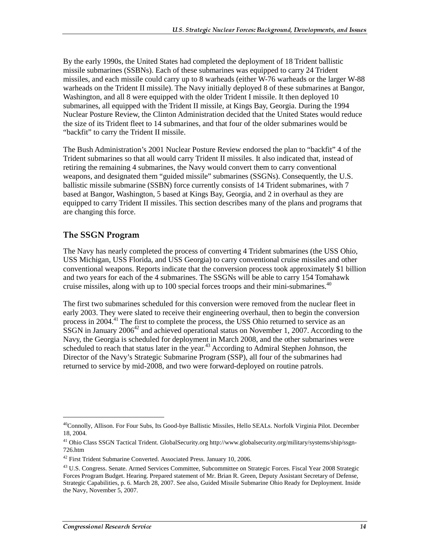By the early 1990s, the United States had completed the deployment of 18 Trident ballistic missile submarines (SSBNs). Each of these submarines was equipped to carry 24 Trident missiles, and each missile could carry up to 8 warheads (either W-76 warheads or the larger W-88 warheads on the Trident II missile). The Navy initially deployed 8 of these submarines at Bangor, Washington, and all 8 were equipped with the older Trident I missile. It then deployed 10 submarines, all equipped with the Trident II missile, at Kings Bay, Georgia. During the 1994 Nuclear Posture Review, the Clinton Administration decided that the United States would reduce the size of its Trident fleet to 14 submarines, and that four of the older submarines would be "backfit" to carry the Trident II missile.

The Bush Administration's 2001 Nuclear Posture Review endorsed the plan to "backfit" 4 of the Trident submarines so that all would carry Trident II missiles. It also indicated that, instead of retiring the remaining 4 submarines, the Navy would convert them to carry conventional weapons, and designated them "guided missile" submarines (SSGNs). Consequently, the U.S. ballistic missile submarine (SSBN) force currently consists of 14 Trident submarines, with 7 based at Bangor, Washington, 5 based at Kings Bay, Georgia, and 2 in overhaul as they are equipped to carry Trident II missiles. This section describes many of the plans and programs that are changing this force.

#### **The SSGN Program**

The Navy has nearly completed the process of converting 4 Trident submarines (the USS Ohio, USS Michigan, USS Florida, and USS Georgia) to carry conventional cruise missiles and other conventional weapons. Reports indicate that the conversion process took approximately \$1 billion and two years for each of the 4 submarines. The SSGNs will be able to carry 154 Tomahawk cruise missiles, along with up to 100 special forces troops and their mini-submarines.<sup>40</sup>

The first two submarines scheduled for this conversion were removed from the nuclear fleet in early 2003. They were slated to receive their engineering overhaul, then to begin the conversion process in 2004.<sup>41</sup> The first to complete the process, the USS Ohio returned to service as an  $\overline{S}$ SGN in January 2006<sup>42</sup> and achieved operational status on November 1, 2007. According to the Navy, the Georgia is scheduled for deployment in March 2008, and the other submarines were scheduled to reach that status later in the year.<sup>43</sup> According to Admiral Stephen Johnson, the Director of the Navy's Strategic Submarine Program (SSP), all four of the submarines had returned to service by mid-2008, and two were forward-deployed on routine patrols.

<sup>&</sup>lt;sup>40</sup>Connolly, Allison. For Four Subs, Its Good-bye Ballistic Missiles, Hello SEALs. Norfolk Virginia Pilot. December 18, 2004.

<sup>41</sup> Ohio Class SSGN Tactical Trident. GlobalSecurity.org http://www.globalsecurity.org/military/systems/ship/ssgn-726.htm

<sup>&</sup>lt;sup>42</sup> First Trident Submarine Converted. Associated Press. January 10, 2006.

<sup>&</sup>lt;sup>43</sup> U.S. Congress. Senate. Armed Services Committee, Subcommittee on Strategic Forces. Fiscal Year 2008 Strategic Forces Program Budget. Hearing. Prepared statement of Mr. Brian R. Green, Deputy Assistant Secretary of Defense, Strategic Capabilities, p. 6. March 28, 2007. See also, Guided Missile Submarine Ohio Ready for Deployment. Inside the Navy, November 5, 2007.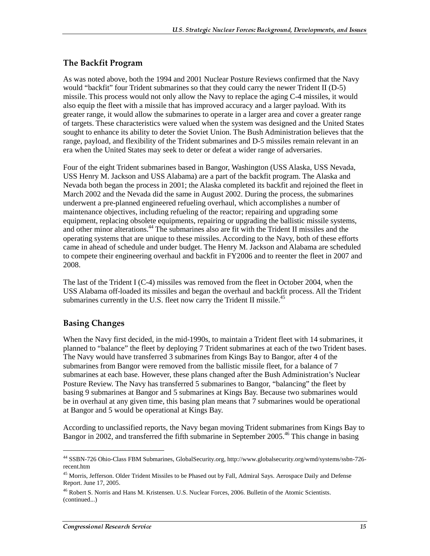#### The Backfit Program

As was noted above, both the 1994 and 2001 Nuclear Posture Reviews confirmed that the Navy would "backfit" four Trident submarines so that they could carry the newer Trident II (D-5) missile. This process would not only allow the Navy to replace the aging C-4 missiles, it would also equip the fleet with a missile that has improved accuracy and a larger payload. With its greater range, it would allow the submarines to operate in a larger area and cover a greater range of targets. These characteristics were valued when the system was designed and the United States sought to enhance its ability to deter the Soviet Union. The Bush Administration believes that the range, payload, and flexibility of the Trident submarines and D-5 missiles remain relevant in an era when the United States may seek to deter or defeat a wider range of adversaries.

Four of the eight Trident submarines based in Bangor, Washington (USS Alaska, USS Nevada, USS Henry M. Jackson and USS Alabama) are a part of the backfit program. The Alaska and Nevada both began the process in 2001; the Alaska completed its backfit and rejoined the fleet in March 2002 and the Nevada did the same in August 2002. During the process, the submarines underwent a pre-planned engineered refueling overhaul, which accomplishes a number of maintenance objectives, including refueling of the reactor; repairing and upgrading some equipment, replacing obsolete equipments, repairing or upgrading the ballistic missile systems, and other minor alterations.<sup>44</sup> The submarines also are fit with the Trident II missiles and the operating systems that are unique to these missiles. According to the Navy, both of these efforts came in ahead of schedule and under budget. The Henry M. Jackson and Alabama are scheduled to compete their engineering overhaul and backfit in FY2006 and to reenter the fleet in 2007 and 2008.

The last of the Trident I (C-4) missiles was removed from the fleet in October 2004, when the USS Alabama off-loaded its missiles and began the overhaul and backfit process. All the Trident submarines currently in the U.S. fleet now carry the Trident II missile.<sup>45</sup>

#### **Basing Changes**

j

When the Navy first decided, in the mid-1990s, to maintain a Trident fleet with 14 submarines, it planned to "balance" the fleet by deploying 7 Trident submarines at each of the two Trident bases. The Navy would have transferred 3 submarines from Kings Bay to Bangor, after 4 of the submarines from Bangor were removed from the ballistic missile fleet, for a balance of 7 submarines at each base. However, these plans changed after the Bush Administration's Nuclear Posture Review. The Navy has transferred 5 submarines to Bangor, "balancing" the fleet by basing 9 submarines at Bangor and 5 submarines at Kings Bay. Because two submarines would be in overhaul at any given time, this basing plan means that 7 submarines would be operational at Bangor and 5 would be operational at Kings Bay.

According to unclassified reports, the Navy began moving Trident submarines from Kings Bay to Bangor in 2002, and transferred the fifth submarine in September 2005.<sup>46</sup> This change in basing

<sup>44</sup> SSBN-726 Ohio-Class FBM Submarines, GlobalSecurity.org, http://www.globalsecurity.org/wmd/systems/ssbn-726 recent.htm

<sup>&</sup>lt;sup>45</sup> Morris, Jefferson. Older Trident Missiles to be Phased out by Fall, Admiral Says. Aerospace Daily and Defense Report. June 17, 2005.

<sup>46</sup> Robert S. Norris and Hans M. Kristensen. U.S. Nuclear Forces, 2006. Bulletin of the Atomic Scientists. (continued...)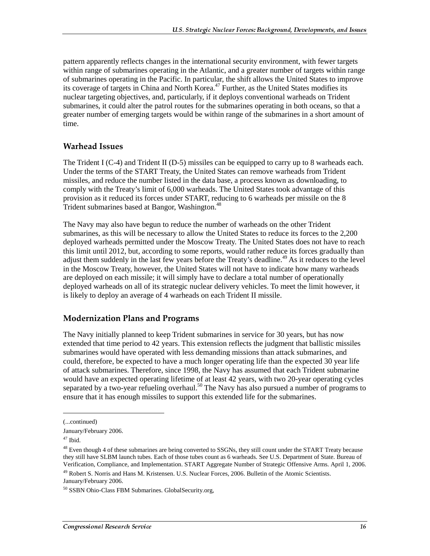pattern apparently reflects changes in the international security environment, with fewer targets within range of submarines operating in the Atlantic, and a greater number of targets within range of submarines operating in the Pacific. In particular, the shift allows the United States to improve its coverage of targets in China and North Korea.<sup>47</sup> Further, as the United States modifies its nuclear targeting objectives, and, particularly, if it deploys conventional warheads on Trident submarines, it could alter the patrol routes for the submarines operating in both oceans, so that a greater number of emerging targets would be within range of the submarines in a short amount of time.

#### **Warhead Issues**

The Trident I (C-4) and Trident II (D-5) missiles can be equipped to carry up to 8 warheads each. Under the terms of the START Treaty, the United States can remove warheads from Trident missiles, and reduce the number listed in the data base, a process known as downloading, to comply with the Treaty's limit of 6,000 warheads. The United States took advantage of this provision as it reduced its forces under START, reducing to 6 warheads per missile on the 8 Trident submarines based at Bangor, Washington.<sup>48</sup>

The Navy may also have begun to reduce the number of warheads on the other Trident submarines, as this will be necessary to allow the United States to reduce its forces to the 2,200 deployed warheads permitted under the Moscow Treaty. The United States does not have to reach this limit until 2012, but, according to some reports, would rather reduce its forces gradually than adjust them suddenly in the last few years before the Treaty's deadline.<sup>49</sup> As it reduces to the level in the Moscow Treaty, however, the United States will not have to indicate how many warheads are deployed on each missile; it will simply have to declare a total number of operationally deployed warheads on all of its strategic nuclear delivery vehicles. To meet the limit however, it is likely to deploy an average of 4 warheads on each Trident II missile.

#### Modernization Plans and Programs

The Navy initially planned to keep Trident submarines in service for 30 years, but has now extended that time period to 42 years. This extension reflects the judgment that ballistic missiles submarines would have operated with less demanding missions than attack submarines, and could, therefore, be expected to have a much longer operating life than the expected 30 year life of attack submarines. Therefore, since 1998, the Navy has assumed that each Trident submarine would have an expected operating lifetime of at least 42 years, with two 20-year operating cycles separated by a two-year refueling overhaul.<sup>50</sup> The Navy has also pursued a number of programs to ensure that it has enough missiles to support this extended life for the submarines.

<sup>(...</sup>continued)

January/February 2006.

<sup>47</sup> Ibid.

 $48$  Even though 4 of these submarines are being converted to SSGNs, they still count under the START Treaty because they still have SLBM launch tubes. Each of those tubes count as 6 warheads. See U.S. Department of State. Bureau of Verification, Compliance, and Implementation. START Aggregate Number of Strategic Offensive Arms. April 1, 2006.

<sup>49</sup> Robert S. Norris and Hans M. Kristensen. U.S. Nuclear Forces, 2006. Bulletin of the Atomic Scientists. January/February 2006.

<sup>50</sup> SSBN Ohio-Class FBM Submarines. GlobalSecurity.org,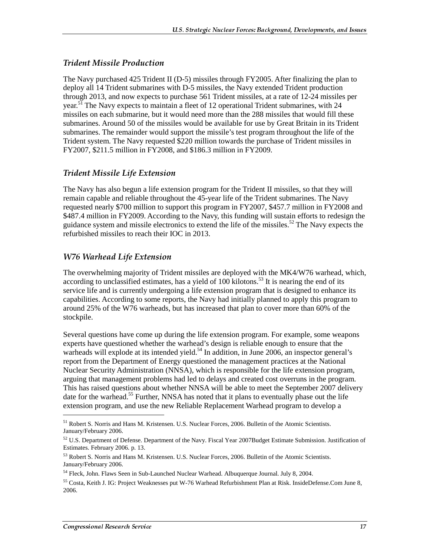#### Trident Missile Production

The Navy purchased 425 Trident II (D-5) missiles through FY2005. After finalizing the plan to deploy all 14 Trident submarines with D-5 missiles, the Navy extended Trident production through 2013, and now expects to purchase 561 Trident missiles, at a rate of 12-24 missiles per year.<sup>51</sup> The Navy expects to maintain a fleet of 12 operational Trident submarines, with 24 missiles on each submarine, but it would need more than the 288 missiles that would fill these submarines. Around 50 of the missiles would be available for use by Great Britain in its Trident submarines. The remainder would support the missile's test program throughout the life of the Trident system. The Navy requested \$220 million towards the purchase of Trident missiles in FY2007, \$211.5 million in FY2008, and \$186.3 million in FY2009.

#### Trident Missile Life Extension

The Navy has also begun a life extension program for the Trident II missiles, so that they will remain capable and reliable throughout the 45-year life of the Trident submarines. The Navy requested nearly \$700 million to support this program in FY2007, \$457.7 million in FY2008 and \$487.4 million in FY2009. According to the Navy, this funding will sustain efforts to redesign the guidance system and missile electronics to extend the life of the missiles.52 The Navy expects the refurbished missiles to reach their IOC in 2013.

#### W76 Warhead Life Extension

The overwhelming majority of Trident missiles are deployed with the MK4/W76 warhead, which, according to unclassified estimates, has a yield of  $100$  kilotons.<sup>53</sup> It is nearing the end of its service life and is currently undergoing a life extension program that is designed to enhance its capabilities. According to some reports, the Navy had initially planned to apply this program to around 25% of the W76 warheads, but has increased that plan to cover more than 60% of the stockpile.

Several questions have come up during the life extension program. For example, some weapons experts have questioned whether the warhead's design is reliable enough to ensure that the warheads will explode at its intended yield.<sup>54</sup> In addition, in June 2006, an inspector general's report from the Department of Energy questioned the management practices at the National Nuclear Security Administration (NNSA), which is responsible for the life extension program, arguing that management problems had led to delays and created cost overruns in the program. This has raised questions about whether NNSA will be able to meet the September 2007 delivery date for the warhead.<sup>55</sup> Further, NNSA has noted that it plans to eventually phase out the life extension program, and use the new Reliable Replacement Warhead program to develop a

<sup>&</sup>lt;sup>51</sup> Robert S. Norris and Hans M. Kristensen. U.S. Nuclear Forces, 2006. Bulletin of the Atomic Scientists. January/February 2006.

<sup>&</sup>lt;sup>52</sup> U.S. Department of Defense. Department of the Navy. Fiscal Year 2007Budget Estimate Submission. Justification of Estimates. February 2006. p. 13.

<sup>53</sup> Robert S. Norris and Hans M. Kristensen. U.S. Nuclear Forces, 2006. Bulletin of the Atomic Scientists. January/February 2006.

<sup>54</sup> Fleck, John. Flaws Seen in Sub-Launched Nuclear Warhead. Albuquerque Journal. July 8, 2004.

<sup>55</sup> Costa, Keith J. IG: Project Weaknesses put W-76 Warhead Refurbishment Plan at Risk. InsideDefense.Com June 8, 2006.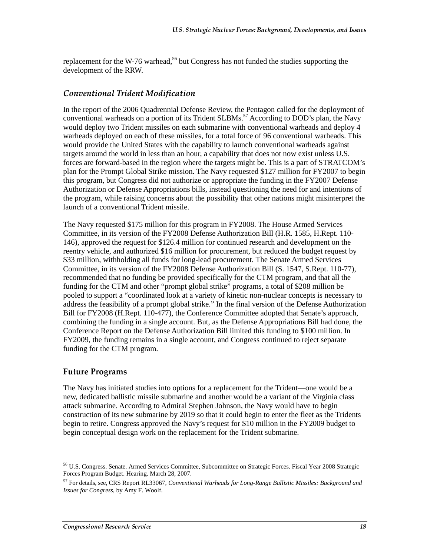replacement for the W-76 warhead,<sup>56</sup> but Congress has not funded the studies supporting the development of the RRW.

#### Conventional Trident Modification

In the report of the 2006 Quadrennial Defense Review, the Pentagon called for the deployment of conventional warheads on a portion of its Trident  $SLBMS$ <sup>57</sup> According to DOD's plan, the Navy would deploy two Trident missiles on each submarine with conventional warheads and deploy 4 warheads deployed on each of these missiles, for a total force of 96 conventional warheads. This would provide the United States with the capability to launch conventional warheads against targets around the world in less than an hour, a capability that does not now exist unless U.S. forces are forward-based in the region where the targets might be. This is a part of STRATCOM's plan for the Prompt Global Strike mission. The Navy requested \$127 million for FY2007 to begin this program, but Congress did not authorize or appropriate the funding in the FY2007 Defense Authorization or Defense Appropriations bills, instead questioning the need for and intentions of the program, while raising concerns about the possibility that other nations might misinterpret the launch of a conventional Trident missile.

The Navy requested \$175 million for this program in FY2008. The House Armed Services Committee, in its version of the FY2008 Defense Authorization Bill (H.R. 1585, H.Rept. 110- 146), approved the request for \$126.4 million for continued research and development on the reentry vehicle, and authorized \$16 million for procurement, but reduced the budget request by \$33 million, withholding all funds for long-lead procurement. The Senate Armed Services Committee, in its version of the FY2008 Defense Authorization Bill (S. 1547, S.Rept. 110-77), recommended that no funding be provided specifically for the CTM program, and that all the funding for the CTM and other "prompt global strike" programs, a total of \$208 million be pooled to support a "coordinated look at a variety of kinetic non-nuclear concepts is necessary to address the feasibility of a prompt global strike." In the final version of the Defense Authorization Bill for FY2008 (H.Rept. 110-477), the Conference Committee adopted that Senate's approach, combining the funding in a single account. But, as the Defense Appropriations Bill had done, the Conference Report on the Defense Authorization Bill limited this funding to \$100 million. In FY2009, the funding remains in a single account, and Congress continued to reject separate funding for the CTM program.

#### **Future Programs**

j

The Navy has initiated studies into options for a replacement for the Trident—one would be a new, dedicated ballistic missile submarine and another would be a variant of the Virginia class attack submarine. According to Admiral Stephen Johnson, the Navy would have to begin construction of its new submarine by 2019 so that it could begin to enter the fleet as the Tridents begin to retire. Congress approved the Navy's request for \$10 million in the FY2009 budget to begin conceptual design work on the replacement for the Trident submarine.

<sup>56</sup> U.S. Congress. Senate. Armed Services Committee, Subcommittee on Strategic Forces. Fiscal Year 2008 Strategic Forces Program Budget. Hearing. March 28, 2007.

<sup>57</sup> For details, see, CRS Report RL33067, *Conventional Warheads for Long-Range Ballistic Missiles: Background and Issues for Congress*, by Amy F. Woolf.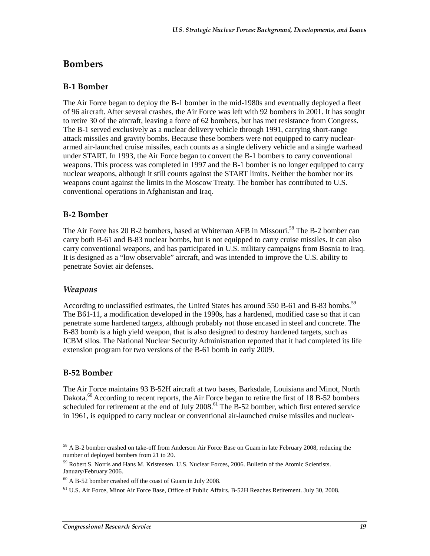### **Bombers**

#### **B-1 Bomber**

The Air Force began to deploy the B-1 bomber in the mid-1980s and eventually deployed a fleet of 96 aircraft. After several crashes, the Air Force was left with 92 bombers in 2001. It has sought to retire 30 of the aircraft, leaving a force of 62 bombers, but has met resistance from Congress. The B-1 served exclusively as a nuclear delivery vehicle through 1991, carrying short-range attack missiles and gravity bombs. Because these bombers were not equipped to carry nucleararmed air-launched cruise missiles, each counts as a single delivery vehicle and a single warhead under START. In 1993, the Air Force began to convert the B-1 bombers to carry conventional weapons. This process was completed in 1997 and the B-1 bomber is no longer equipped to carry nuclear weapons, although it still counts against the START limits. Neither the bomber nor its weapons count against the limits in the Moscow Treaty. The bomber has contributed to U.S. conventional operations in Afghanistan and Iraq.

#### **B-2 Bomber**

The Air Force has 20 B-2 bombers, based at Whiteman AFB in Missouri.<sup>58</sup> The B-2 bomber can carry both B-61 and B-83 nuclear bombs, but is not equipped to carry cruise missiles. It can also carry conventional weapons, and has participated in U.S. military campaigns from Bosnia to Iraq. It is designed as a "low observable" aircraft, and was intended to improve the U.S. ability to penetrate Soviet air defenses.

#### Weapons

According to unclassified estimates, the United States has around 550 B-61 and B-83 bombs.<sup>59</sup> The B61-11, a modification developed in the 1990s, has a hardened, modified case so that it can penetrate some hardened targets, although probably not those encased in steel and concrete. The B-83 bomb is a high yield weapon, that is also designed to destroy hardened targets, such as ICBM silos. The National Nuclear Security Administration reported that it had completed its life extension program for two versions of the B-61 bomb in early 2009.

#### B-52 Bomber

 $\overline{a}$ 

The Air Force maintains 93 B-52H aircraft at two bases, Barksdale, Louisiana and Minot, North Dakota.<sup>60</sup> According to recent reports, the Air Force began to retire the first of 18 B-52 bombers scheduled for retirement at the end of July 2008.<sup>61</sup> The B-52 bomber, which first entered service in 1961, is equipped to carry nuclear or conventional air-launched cruise missiles and nuclear-

<sup>&</sup>lt;sup>58</sup> A B-2 bomber crashed on take-off from Anderson Air Force Base on Guam in late February 2008, reducing the number of deployed bombers from 21 to 20.

<sup>59</sup> Robert S. Norris and Hans M. Kristensen. U.S. Nuclear Forces, 2006. Bulletin of the Atomic Scientists. January/February 2006.

 $60$  A B-52 bomber crashed off the coast of Guam in July 2008.

<sup>61</sup> U.S. Air Force, Minot Air Force Base, Office of Public Affairs. B-52H Reaches Retirement. July 30, 2008.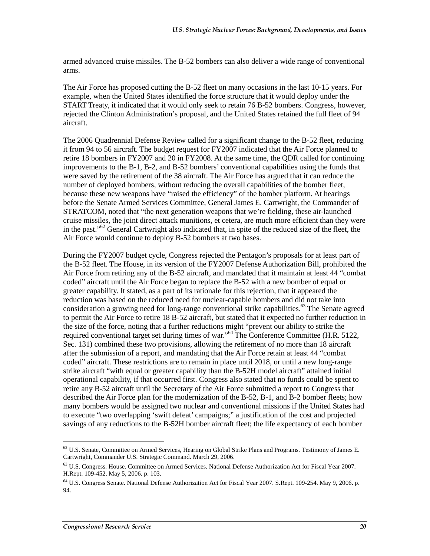armed advanced cruise missiles. The B-52 bombers can also deliver a wide range of conventional arms.

The Air Force has proposed cutting the B-52 fleet on many occasions in the last 10-15 years. For example, when the United States identified the force structure that it would deploy under the START Treaty, it indicated that it would only seek to retain 76 B-52 bombers. Congress, however, rejected the Clinton Administration's proposal, and the United States retained the full fleet of 94 aircraft.

The 2006 Quadrennial Defense Review called for a significant change to the B-52 fleet, reducing it from 94 to 56 aircraft. The budget request for FY2007 indicated that the Air Force planned to retire 18 bombers in FY2007 and 20 in FY2008. At the same time, the QDR called for continuing improvements to the B-1, B-2, and B-52 bombers' conventional capabilities using the funds that were saved by the retirement of the 38 aircraft. The Air Force has argued that it can reduce the number of deployed bombers, without reducing the overall capabilities of the bomber fleet, because these new weapons have "raised the efficiency" of the bomber platform. At hearings before the Senate Armed Services Committee, General James E. Cartwright, the Commander of STRATCOM, noted that "the next generation weapons that we're fielding, these air-launched cruise missiles, the joint direct attack munitions, et cetera, are much more efficient than they were in the past."62 General Cartwright also indicated that, in spite of the reduced size of the fleet, the Air Force would continue to deploy B-52 bombers at two bases.

During the FY2007 budget cycle, Congress rejected the Pentagon's proposals for at least part of the B-52 fleet. The House, in its version of the FY2007 Defense Authorization Bill, prohibited the Air Force from retiring any of the B-52 aircraft, and mandated that it maintain at least 44 "combat coded" aircraft until the Air Force began to replace the B-52 with a new bomber of equal or greater capability. It stated, as a part of its rationale for this rejection, that it appeared the reduction was based on the reduced need for nuclear-capable bombers and did not take into consideration a growing need for long-range conventional strike capabilities.<sup>63</sup> The Senate agreed to permit the Air Force to retire 18 B-52 aircraft, but stated that it expected no further reduction in the size of the force, noting that a further reductions might "prevent our ability to strike the required conventional target set during times of war."64 The Conference Committee (H.R. 5122, Sec. 131) combined these two provisions, allowing the retirement of no more than 18 aircraft after the submission of a report, and mandating that the Air Force retain at least 44 "combat coded" aircraft. These restrictions are to remain in place until 2018, or until a new long-range strike aircraft "with equal or greater capability than the B-52H model aircraft" attained initial operational capability, if that occurred first. Congress also stated that no funds could be spent to retire any B-52 aircraft until the Secretary of the Air Force submitted a report to Congress that described the Air Force plan for the modernization of the B-52, B-1, and B-2 bomber fleets; how many bombers would be assigned two nuclear and conventional missions if the United States had to execute "two overlapping 'swift defeat' campaigns;" a justification of the cost and projected savings of any reductions to the B-52H bomber aircraft fleet; the life expectancy of each bomber

<sup>62</sup> U.S. Senate, Committee on Armed Services, Hearing on Global Strike Plans and Programs. Testimony of James E. Cartwright, Commander U.S. Strategic Command. March 29, 2006.

 $63$  U.S. Congress. House. Committee on Armed Services. National Defense Authorization Act for Fiscal Year 2007. H.Rept. 109-452. May 5, 2006. p. 103.

<sup>64</sup> U.S. Congress Senate. National Defense Authorization Act for Fiscal Year 2007. S.Rept. 109-254. May 9, 2006. p. 94.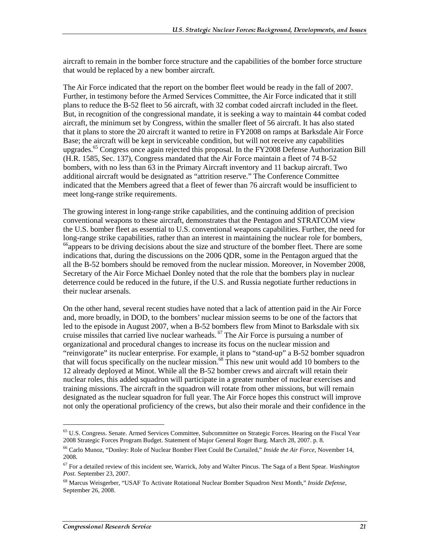aircraft to remain in the bomber force structure and the capabilities of the bomber force structure that would be replaced by a new bomber aircraft.

The Air Force indicated that the report on the bomber fleet would be ready in the fall of 2007. Further, in testimony before the Armed Services Committee, the Air Force indicated that it still plans to reduce the B-52 fleet to 56 aircraft, with 32 combat coded aircraft included in the fleet. But, in recognition of the congressional mandate, it is seeking a way to maintain 44 combat coded aircraft, the minimum set by Congress, within the smaller fleet of 56 aircraft. It has also stated that it plans to store the 20 aircraft it wanted to retire in FY2008 on ramps at Barksdale Air Force Base; the aircraft will be kept in serviceable condition, but will not receive any capabilities upgrades.<sup>65</sup> Congress once again rejected this proposal. In the FY2008 Defense Authorization Bill (H.R. 1585, Sec. 137), Congress mandated that the Air Force maintain a fleet of 74 B-52 bombers, with no less than 63 in the Primary Aircraft inventory and 11 backup aircraft. Two additional aircraft would be designated as "attrition reserve." The Conference Committee indicated that the Members agreed that a fleet of fewer than 76 aircraft would be insufficient to meet long-range strike requirements.

The growing interest in long-range strike capabilities, and the continuing addition of precision conventional weapons to these aircraft, demonstrates that the Pentagon and STRATCOM view the U.S. bomber fleet as essential to U.S. conventional weapons capabilities. Further, the need for long-range strike capabilities, rather than an interest in maintaining the nuclear role for bombers, <sup>66</sup>appears to be driving decisions about the size and structure of the bomber fleet. There are some indications that, during the discussions on the 2006 QDR, some in the Pentagon argued that the all the B-52 bombers should be removed from the nuclear mission. Moreover, in November 2008, Secretary of the Air Force Michael Donley noted that the role that the bombers play in nuclear deterrence could be reduced in the future, if the U.S. and Russia negotiate further reductions in their nuclear arsenals.

On the other hand, several recent studies have noted that a lack of attention paid in the Air Force and, more broadly, in DOD, to the bombers' nuclear mission seems to be one of the factors that led to the episode in August 2007, when a B-52 bombers flew from Minot to Barksdale with six cruise missiles that carried live nuclear warheads.  $\sigma$  The Air Force is pursuing a number of organizational and procedural changes to increase its focus on the nuclear mission and "reinvigorate" its nuclear enterprise. For example, it plans to "stand-up" a B-52 bomber squadron that will focus specifically on the nuclear mission.68 This new unit would add 10 bombers to the 12 already deployed at Minot. While all the B-52 bomber crews and aircraft will retain their nuclear roles, this added squadron will participate in a greater number of nuclear exercises and training missions. The aircraft in the squadron will rotate from other missions, but will remain designated as the nuclear squadron for full year. The Air Force hopes this construct will improve not only the operational proficiency of the crews, but also their morale and their confidence in the

<sup>65</sup> U.S. Congress. Senate. Armed Services Committee, Subcommittee on Strategic Forces. Hearing on the Fiscal Year 2008 Strategic Forces Program Budget. Statement of Major General Roger Burg. March 28, 2007. p. 8.

<sup>66</sup> Carlo Munoz, "Donley: Role of Nuclear Bomber Fleet Could Be Curtailed," *Inside the Air Force*, November 14, 2008.

<sup>67</sup> For a detailed review of this incident see, Warrick, Joby and Walter Pincus. The Saga of a Bent Spear. *Washington Post*. September 23, 2007.

<sup>68</sup> Marcus Weisgerber, "USAF To Activate Rotational Nuclear Bomber Squadron Next Month," *Inside Defense*, September 26, 2008.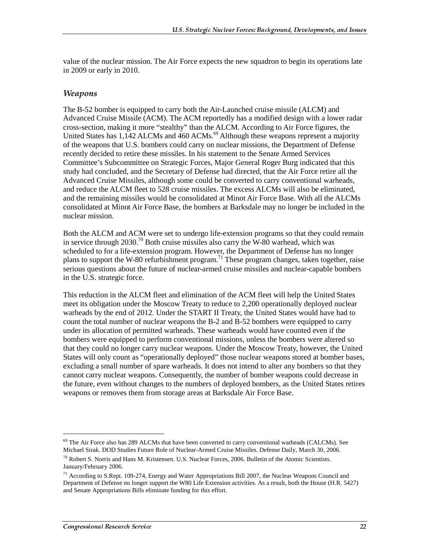value of the nuclear mission. The Air Force expects the new squadron to begin its operations late in 2009 or early in 2010.

#### Weapons

The B-52 bomber is equipped to carry both the Air-Launched cruise missile (ALCM) and Advanced Cruise Missile (ACM). The ACM reportedly has a modified design with a lower radar cross-section, making it more "stealthy" than the ALCM. According to Air Force figures, the United States has  $1,142$  ALCMs and  $460$  ACMs.<sup>69</sup> Although these weapons represent a majority of the weapons that U.S. bombers could carry on nuclear missions, the Department of Defense recently decided to retire these missiles. In his statement to the Senate Armed Services Committee's Subcommittee on Strategic Forces, Major General Roger Burg indicated that this study had concluded, and the Secretary of Defense had directed, that the Air Force retire all the Advanced Cruise Missiles, although some could be converted to carry conventional warheads, and reduce the ALCM fleet to 528 cruise missiles. The excess ALCMs will also be eliminated, and the remaining missiles would be consolidated at Minot Air Force Base. With all the ALCMs consolidated at Minot Air Force Base, the bombers at Barksdale may no longer be included in the nuclear mission.

Both the ALCM and ACM were set to undergo life-extension programs so that they could remain in service through 2030.<sup>70</sup> Both cruise missiles also carry the W-80 warhead, which was scheduled to for a life-extension program. However, the Department of Defense has no longer plans to support the W-80 refurbishment program.71 These program changes, taken together, raise serious questions about the future of nuclear-armed cruise missiles and nuclear-capable bombers in the U.S. strategic force.

This reduction in the ALCM fleet and elimination of the ACM fleet will help the United States meet its obligation under the Moscow Treaty to reduce to 2,200 operationally deployed nuclear warheads by the end of 2012. Under the START II Treaty, the United States would have had to count the total number of nuclear weapons the B-2 and B-52 bombers were equipped to carry under its allocation of permitted warheads. These warheads would have counted even if the bombers were equipped to perform conventional missions, unless the bombers were altered so that they could no longer carry nuclear weapons. Under the Moscow Treaty, however, the United States will only count as "operationally deployed" those nuclear weapons stored at bomber bases, excluding a small number of spare warheads. It does not intend to alter any bombers so that they cannot carry nuclear weapons. Consequently, the number of bomber weapons could decrease in the future, even without changes to the numbers of deployed bombers, as the United States retires weapons or removes them from storage areas at Barksdale Air Force Base.

<sup>&</sup>lt;sup>69</sup> The Air Force also has 289 ALCMs that have been converted to carry conventional warheads (CALCMs). See Michael Sirak. DOD Studies Future Role of Nuclear-Armed Cruise Missiles. Defense Daily, March 30, 2006.

<sup>70</sup> Robert S. Norris and Hans M. Kristensen. U.S. Nuclear Forces, 2006. Bulletin of the Atomic Scientists. January/February 2006.

<sup>71</sup> According to S.Rept. 109-274, Energy and Water Appropriations Bill 2007, the Nuclear Weapons Council and Department of Defense no longer support the W80 Life Extension activities. As a result, both the House (H.R. 5427) and Senate Appropriations Bills eliminate funding for this effort.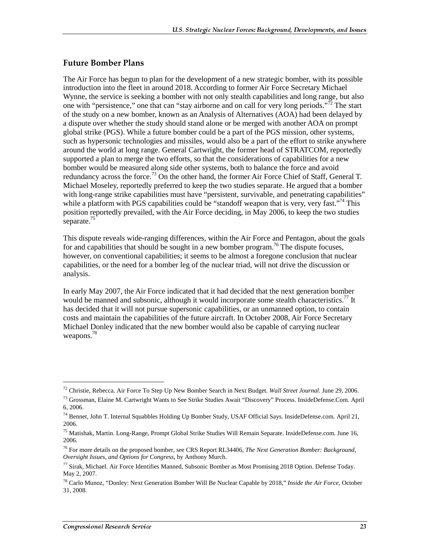#### Future Bomber Plans

The Air Force has begun to plan for the development of a new strategic bomber, with its possible introduction into the fleet in around 2018. According to former Air Force Secretary Michael Wynne, the service is seeking a bomber with not only stealth capabilities and long range, but also one with "persistence," one that can "stay airborne and on call for very long periods."<sup>72</sup> The start of the study on a new bomber, known as an Analysis of Alternatives (AOA) had been delayed by a dispute over whether the study should stand alone or be merged with another AOA on prompt global strike (PGS). While a future bomber could be a part of the PGS mission, other systems, such as hypersonic technologies and missiles, would also be a part of the effort to strike anywhere around the world at long range. General Cartwright, the former head of STRATCOM, reportedly supported a plan to merge the two efforts, so that the considerations of capabilities for a new bomber would be measured along side other systems, both to balance the force and avoid redundancy across the force.<sup>73</sup> On the other hand, the former Air Force Chief of Staff, General T. Michael Moseley, reportedly preferred to keep the two studies separate. He argued that a bomber with long-range strike capabilities must have "persistent, survivable, and penetrating capabilities" while a platform with PGS capabilities could be "standoff weapon that is very, very fast."<sup>74</sup> This position reportedly prevailed, with the Air Force deciding, in May 2006, to keep the two studies separate.<sup>75</sup>

This dispute reveals wide-ranging differences, within the Air Force and Pentagon, about the goals for and capabilities that should be sought in a new bomber program.<sup>76</sup> The dispute focuses, however, on conventional capabilities; it seems to be almost a foregone conclusion that nuclear capabilities, or the need for a bomber leg of the nuclear triad, will not drive the discussion or analysis.

In early May 2007, the Air Force indicated that it had decided that the next generation bomber would be manned and subsonic, although it would incorporate some stealth characteristics.<sup>77</sup> It has decided that it will not pursue supersonic capabilities, or an unmanned option, to contain costs and maintain the capabilities of the future aircraft. In October 2008, Air Force Secretary Michael Donley indicated that the new bomber would also be capable of carrying nuclear weapons.<sup>78</sup>

<sup>72</sup> Christie, Rebecca. Air Force To Step Up New Bomber Search in Next Budget. *Wall Street Journal*. June 29, 2006.

<sup>73</sup> Grossman, Elaine M. Cartwright Wants to See Strike Studies Await "Discovery" Process. InsideDefense.Com. April 6, 2006.

<sup>74</sup> Bennet, John T. Internal Squabbles Holding Up Bomber Study, USAF Official Says. InsideDefense.com. April 21, 2006.

<sup>75</sup> Matishak, Martin. Long-Range, Prompt Global Strike Studies Will Remain Separate. InsideDefense.com. June 16, 2006.

<sup>76</sup> For more details on the proposed bomber, see CRS Report RL34406, *The Next Generation Bomber: Background, Oversight Issues, and Options for Congress*, by Anthony Murch.

 $^{77}$  Sirak, Michael. Air Force Identifies Manned, Subsonic Bomber as Most Promising 2018 Option. Defense Today. May 2, 2007.

<sup>78</sup> Carlo Munoz, "Donley: Next Generation Bomber Will Be Nuclear Capable by 2018," *Inside the Air Force*, October 31, 2008.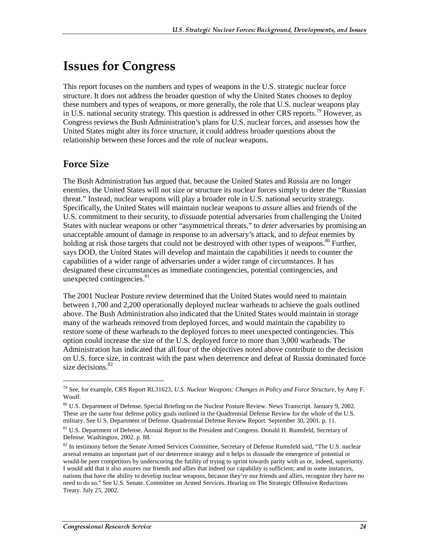## **Issues for Congress**

This report focuses on the numbers and types of weapons in the U.S. strategic nuclear force structure. It does not address the broader question of why the United States chooses to deploy these numbers and types of weapons, or more generally, the role that U.S. nuclear weapons play in U.S. national security strategy. This question is addressed in other CRS reports.79 However, as Congress reviews the Bush Administration's plans for U.S. nuclear forces, and assesses how the United States might alter its force structure, it could address broader questions about the relationship between these forces and the role of nuclear weapons.

### **Force Size**

 $\overline{a}$ 

The Bush Administration has argued that, because the United States and Russia are no longer enemies, the United States will not size or structure its nuclear forces simply to deter the "Russian threat." Instead, nuclear weapons will play a broader role in U.S. national security strategy. Specifically, the United States will maintain nuclear weapons to *assure* allies and friends of the U.S. commitment to their security, to *dissuade* potential adversaries from challenging the United States with nuclear weapons or other "asymmetrical threats," to *deter* adversaries by promising an unacceptable amount of damage in response to an adversary's attack, and to *defeat* enemies by holding at risk those targets that could not be destroyed with other types of weapons.<sup>80</sup> Further, says DOD, the United States will develop and maintain the capabilities it needs to counter the capabilities of a wider range of adversaries under a wider range of circumstances. It has designated these circumstances as immediate contingencies, potential contingencies, and unexpected contingencies.<sup>81</sup>

The 2001 Nuclear Posture review determined that the United States would need to maintain between 1,700 and 2,200 operationally deployed nuclear warheads to achieve the goals outlined above. The Bush Administration also indicated that the United States would maintain in storage many of the warheads removed from deployed forces, and would maintain the capability to restore some of these warheads to the deployed forces to meet unexpected contingencies. This option could increase the size of the U.S. deployed force to more than 3,000 warheads. The Administration has indicated that all four of the objectives noted above contribute to the decision on U.S. force size, in contrast with the past when deterrence and defeat of Russia dominated force size decisions.<sup>82</sup>

<sup>79</sup> See, for example, CRS Report RL31623, *U.S. Nuclear Weapons: Changes in Policy and Force Structure*, by Amy F. Woolf.

<sup>80</sup> U.S. Department of Defense. Special Briefing on the Nuclear Posture Review. News Transcript. January 9, 2002. These are the same four defense policy goals outlined in the Quadrennial Defense Review for the whole of the U.S. military. See U.S. Department of Defense. Quadrennial Defense Review Report. September 30, 2001. p. 11.

<sup>&</sup>lt;sup>81</sup> U.S. Department of Defense. Annual Report to the President and Congress. Donald H. Rumsfeld, Secretary of Defense. Washington, 2002. p. 88.

 $82$  In testimony before the Senate Armed Services Committee, Secretary of Defense Rumsfeld said, "The U.S. nuclear arsenal remains an important part of our deterrence strategy and it helps to dissuade the emergence of potential or would-be peer competitors by underscoring the futility of trying to sprint towards parity with us or, indeed, superiority. I would add that it also assures our friends and allies that indeed our capability is sufficient; and in some instances, nations that have the ability to develop nuclear weapons, because they're our friends and allies, recognize they have no need to do so." See U.S. Senate. Committee on Armed Services. Hearing on The Strategic Offensive Reductions Treaty. July 25, 2002.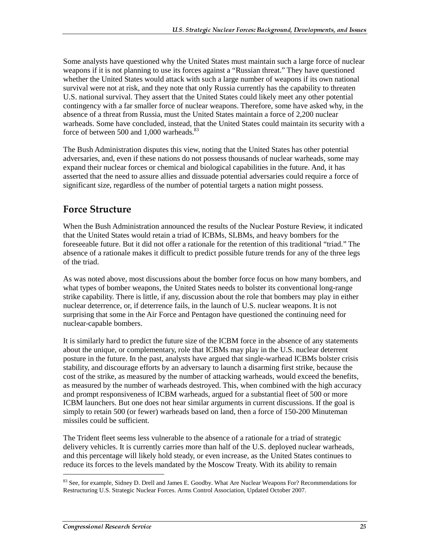Some analysts have questioned why the United States must maintain such a large force of nuclear weapons if it is not planning to use its forces against a "Russian threat." They have questioned whether the United States would attack with such a large number of weapons if its own national survival were not at risk, and they note that only Russia currently has the capability to threaten U.S. national survival. They assert that the United States could likely meet any other potential contingency with a far smaller force of nuclear weapons. Therefore, some have asked why, in the absence of a threat from Russia, must the United States maintain a force of 2,200 nuclear warheads. Some have concluded, instead, that the United States could maintain its security with a force of between 500 and 1,000 warheads. $83$ 

The Bush Administration disputes this view, noting that the United States has other potential adversaries, and, even if these nations do not possess thousands of nuclear warheads, some may expand their nuclear forces or chemical and biological capabilities in the future. And, it has asserted that the need to assure allies and dissuade potential adversaries could require a force of significant size, regardless of the number of potential targets a nation might possess.

## **Force Structure**

When the Bush Administration announced the results of the Nuclear Posture Review, it indicated that the United States would retain a triad of ICBMs, SLBMs, and heavy bombers for the foreseeable future. But it did not offer a rationale for the retention of this traditional "triad." The absence of a rationale makes it difficult to predict possible future trends for any of the three legs of the triad.

As was noted above, most discussions about the bomber force focus on how many bombers, and what types of bomber weapons, the United States needs to bolster its conventional long-range strike capability. There is little, if any, discussion about the role that bombers may play in either nuclear deterrence, or, if deterrence fails, in the launch of U.S. nuclear weapons. It is not surprising that some in the Air Force and Pentagon have questioned the continuing need for nuclear-capable bombers.

It is similarly hard to predict the future size of the ICBM force in the absence of any statements about the unique, or complementary, role that ICBMs may play in the U.S. nuclear deterrent posture in the future. In the past, analysts have argued that single-warhead ICBMs bolster crisis stability, and discourage efforts by an adversary to launch a disarming first strike, because the cost of the strike, as measured by the number of attacking warheads, would exceed the benefits, as measured by the number of warheads destroyed. This, when combined with the high accuracy and prompt responsiveness of ICBM warheads, argued for a substantial fleet of 500 or more ICBM launchers. But one does not hear similar arguments in current discussions. If the goal is simply to retain 500 (or fewer) warheads based on land, then a force of 150-200 Minuteman missiles could be sufficient.

The Trident fleet seems less vulnerable to the absence of a rationale for a triad of strategic delivery vehicles. It is currently carries more than half of the U.S. deployed nuclear warheads, and this percentage will likely hold steady, or even increase, as the United States continues to reduce its forces to the levels mandated by the Moscow Treaty. With its ability to remain

<sup>&</sup>lt;sup>83</sup> See, for example, Sidney D. Drell and James E. Goodby. What Are Nuclear Weapons For? Recommendations for Restructuring U.S. Strategic Nuclear Forces. Arms Control Association, Updated October 2007.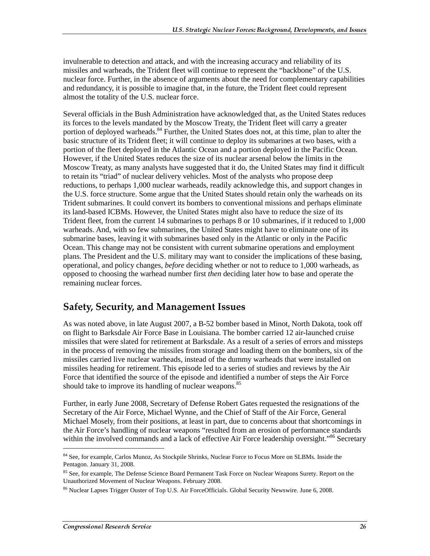invulnerable to detection and attack, and with the increasing accuracy and reliability of its missiles and warheads, the Trident fleet will continue to represent the "backbone" of the U.S. nuclear force. Further, in the absence of arguments about the need for complementary capabilities and redundancy, it is possible to imagine that, in the future, the Trident fleet could represent almost the totality of the U.S. nuclear force.

Several officials in the Bush Administration have acknowledged that, as the United States reduces its forces to the levels mandated by the Moscow Treaty, the Trident fleet will carry a greater portion of deployed warheads.<sup>84</sup> Further, the United States does not, at this time, plan to alter the basic structure of its Trident fleet; it will continue to deploy its submarines at two bases, with a portion of the fleet deployed in the Atlantic Ocean and a portion deployed in the Pacific Ocean. However, if the United States reduces the size of its nuclear arsenal below the limits in the Moscow Treaty, as many analysts have suggested that it do, the United States may find it difficult to retain its "triad" of nuclear delivery vehicles. Most of the analysts who propose deep reductions, to perhaps 1,000 nuclear warheads, readily acknowledge this, and support changes in the U.S. force structure. Some argue that the United States should retain only the warheads on its Trident submarines. It could convert its bombers to conventional missions and perhaps eliminate its land-based ICBMs. However, the United States might also have to reduce the size of its Trident fleet, from the current 14 submarines to perhaps 8 or 10 submarines, if it reduced to 1,000 warheads. And, with so few submarines, the United States might have to eliminate one of its submarine bases, leaving it with submarines based only in the Atlantic or only in the Pacific Ocean. This change may not be consistent with current submarine operations and employment plans. The President and the U.S. military may want to consider the implications of these basing, operational, and policy changes, *before* deciding whether or not to reduce to 1,000 warheads, as opposed to choosing the warhead number first *then* deciding later how to base and operate the remaining nuclear forces.

### Safety, Security, and Management Issues

As was noted above, in late August 2007, a B-52 bomber based in Minot, North Dakota, took off on flight to Barksdale Air Force Base in Louisiana. The bomber carried 12 air-launched cruise missiles that were slated for retirement at Barksdale. As a result of a series of errors and missteps in the process of removing the missiles from storage and loading them on the bombers, six of the missiles carried live nuclear warheads, instead of the dummy warheads that were installed on missiles heading for retirement. This episode led to a series of studies and reviews by the Air Force that identified the source of the episode and identified a number of steps the Air Force should take to improve its handling of nuclear weapons.<sup>85</sup>

Further, in early June 2008, Secretary of Defense Robert Gates requested the resignations of the Secretary of the Air Force, Michael Wynne, and the Chief of Staff of the Air Force, General Michael Mosely, from their positions, at least in part, due to concerns about that shortcomings in the Air Force's handling of nuclear weapons "resulted from an erosion of performance standards within the involved commands and a lack of effective Air Force leadership oversight."<sup>86</sup> Secretary

<sup>84</sup> See, for example, Carlos Munoz, As Stockpile Shrinks, Nuclear Force to Focus More on SLBMs. Inside the Pentagon. January 31, 2008.

<sup>&</sup>lt;sup>85</sup> See, for example, The Defense Science Board Permanent Task Force on Nuclear Weapons Surety. Report on the Unauthorized Movement of Nuclear Weapons. February 2008.

<sup>86</sup> Nuclear Lapses Trigger Ouster of Top U.S. Air ForceOfficials. Global Security Newswire. June 6, 2008.